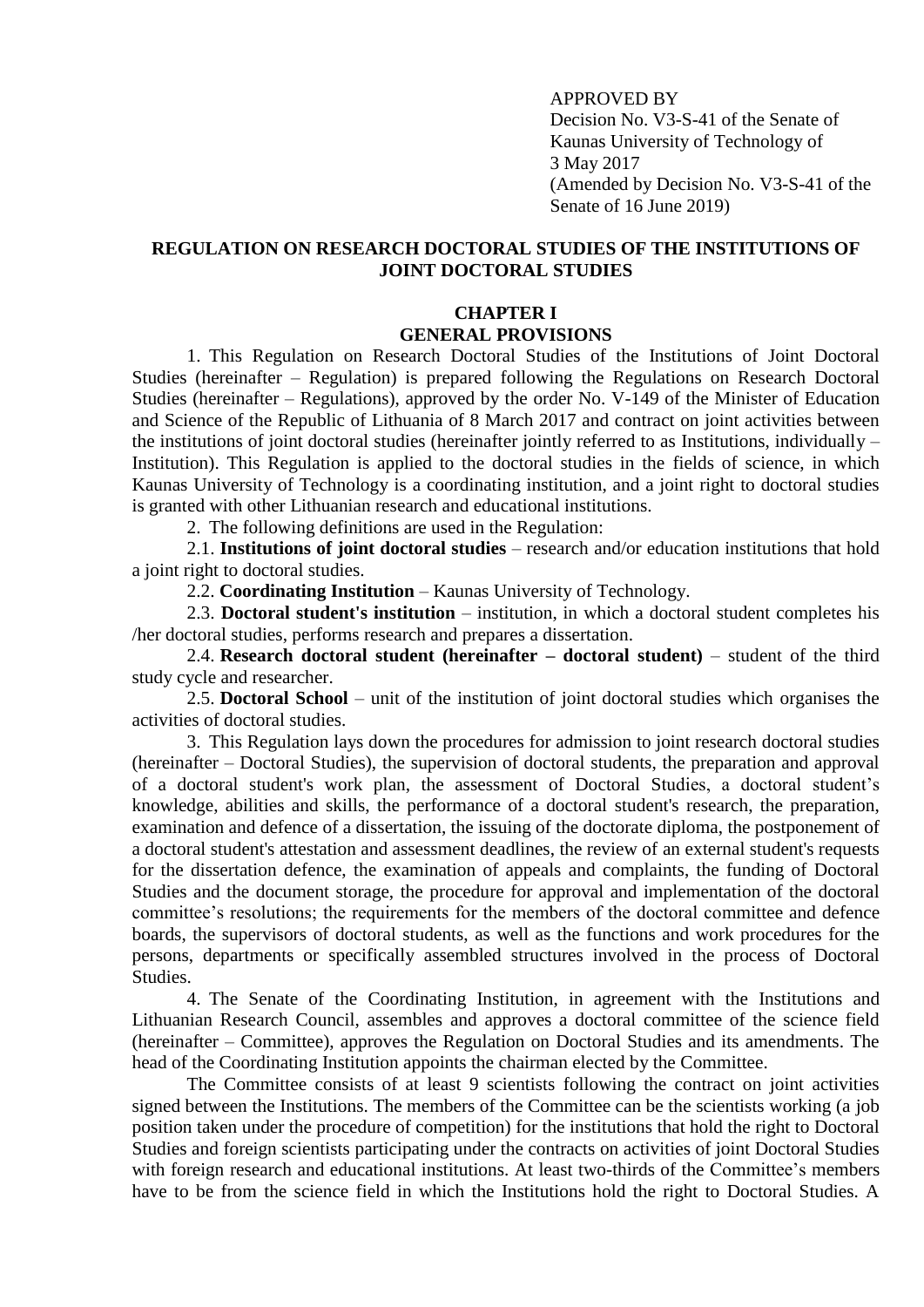APPROVED BY Decision No. V3-S-41 of the Senate of Kaunas University of Technology of 3 May 2017 (Amended by Decision No. V3-S-41 of the Senate of 16 June 2019)

# **REGULATION ON RESEARCH DOCTORAL STUDIES OF THE INSTITUTIONS OF JOINT DOCTORAL STUDIES**

#### **CHAPTER I GENERAL PROVISIONS**

1. This Regulation on Research Doctoral Studies of the Institutions of Joint Doctoral Studies (hereinafter – Regulation) is prepared following the Regulations on Research Doctoral Studies (hereinafter – Regulations), approved by the order No. V-149 of the Minister of Education and Science of the Republic of Lithuania of 8 March 2017 and contract on joint activities between the institutions of joint doctoral studies (hereinafter jointly referred to as Institutions, individually – Institution). This Regulation is applied to the doctoral studies in the fields of science, in which Kaunas University of Technology is a coordinating institution, and a joint right to doctoral studies is granted with other Lithuanian research and educational institutions.

2. The following definitions are used in the Regulation:

2.1. **Institutions of joint doctoral studies** – research and/or education institutions that hold a joint right to doctoral studies.

2.2. **Coordinating Institution** – Kaunas University of Technology.

2.3. **Doctoral student's institution** – institution, in which a doctoral student completes his /her doctoral studies, performs research and prepares a dissertation.

2.4. **Research doctoral student (hereinafter – doctoral student)** – student of the third study cycle and researcher.

2.5. **Doctoral School** – unit of the institution of joint doctoral studies which organises the activities of doctoral studies.

3. This Regulation lays down the procedures for admission to joint research doctoral studies (hereinafter – Doctoral Studies), the supervision of doctoral students, the preparation and approval of a doctoral student's work plan, the assessment of Doctoral Studies, a doctoral student's knowledge, abilities and skills, the performance of a doctoral student's research, the preparation, examination and defence of a dissertation, the issuing of the doctorate diploma, the postponement of a doctoral student's attestation and assessment deadlines, the review of an external student's requests for the dissertation defence, the examination of appeals and complaints, the funding of Doctoral Studies and the document storage, the procedure for approval and implementation of the doctoral committee's resolutions; the requirements for the members of the doctoral committee and defence boards, the supervisors of doctoral students, as well as the functions and work procedures for the persons, departments or specifically assembled structures involved in the process of Doctoral Studies.

4. The Senate of the Coordinating Institution, in agreement with the Institutions and Lithuanian Research Council, assembles and approves a doctoral committee of the science field (hereinafter – Committee), approves the Regulation on Doctoral Studies and its amendments. The head of the Coordinating Institution appoints the chairman elected by the Committee.

The Committee consists of at least 9 scientists following the contract on joint activities signed between the Institutions. The members of the Committee can be the scientists working (a job position taken under the procedure of competition) for the institutions that hold the right to Doctoral Studies and foreign scientists participating under the contracts on activities of joint Doctoral Studies with foreign research and educational institutions. At least two-thirds of the Committee's members have to be from the science field in which the Institutions hold the right to Doctoral Studies. A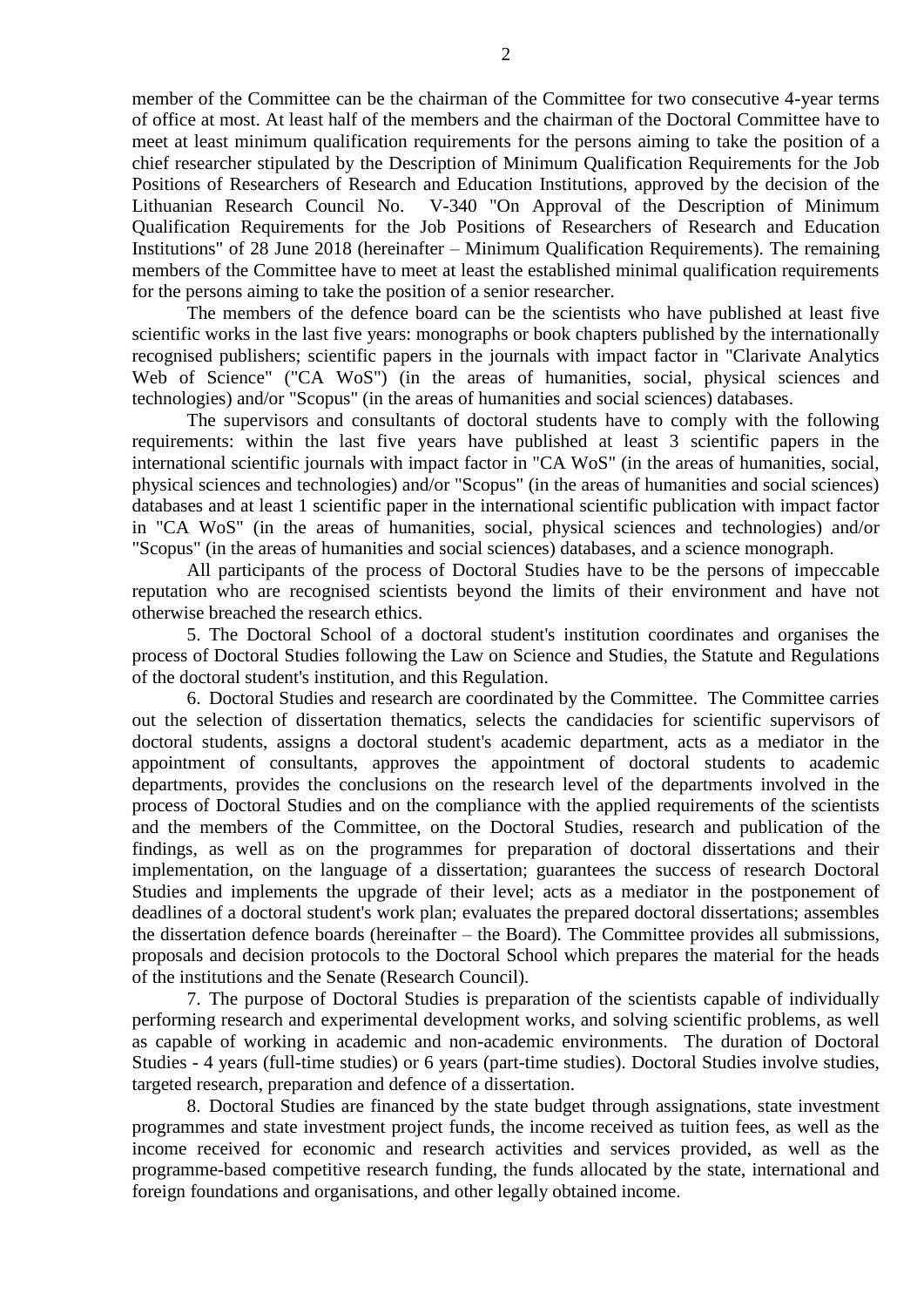member of the Committee can be the chairman of the Committee for two consecutive 4-year terms of office at most. At least half of the members and the chairman of the Doctoral Committee have to meet at least minimum qualification requirements for the persons aiming to take the position of a chief researcher stipulated by the Description of Minimum Qualification Requirements for the Job Positions of Researchers of Research and Education Institutions, approved by the decision of the Lithuanian Research Council No. V-340 "On Approval of the Description of Minimum Qualification Requirements for the Job Positions of Researchers of Research and Education Institutions" of 28 June 2018 (hereinafter – Minimum Qualification Requirements). The remaining members of the Committee have to meet at least the established minimal qualification requirements for the persons aiming to take the position of a senior researcher.

The members of the defence board can be the scientists who have published at least five scientific works in the last five years: monographs or book chapters published by the internationally recognised publishers; scientific papers in the journals with impact factor in "Clarivate Analytics Web of Science" ("CA WoS") (in the areas of humanities, social, physical sciences and technologies) and/or "Scopus" (in the areas of humanities and social sciences) databases.

The supervisors and consultants of doctoral students have to comply with the following requirements: within the last five years have published at least 3 scientific papers in the international scientific journals with impact factor in "CA WoS" (in the areas of humanities, social, physical sciences and technologies) and/or "Scopus" (in the areas of humanities and social sciences) databases and at least 1 scientific paper in the international scientific publication with impact factor in "CA WoS" (in the areas of humanities, social, physical sciences and technologies) and/or "Scopus" (in the areas of humanities and social sciences) databases, and a science monograph.

All participants of the process of Doctoral Studies have to be the persons of impeccable reputation who are recognised scientists beyond the limits of their environment and have not otherwise breached the research ethics.

5. The Doctoral School of a doctoral student's institution coordinates and organises the process of Doctoral Studies following the Law on Science and Studies, the Statute and Regulations of the doctoral student's institution, and this Regulation.

6. Doctoral Studies and research are coordinated by the Committee. The Committee carries out the selection of dissertation thematics, selects the candidacies for scientific supervisors of doctoral students, assigns a doctoral student's academic department, acts as a mediator in the appointment of consultants, approves the appointment of doctoral students to academic departments, provides the conclusions on the research level of the departments involved in the process of Doctoral Studies and on the compliance with the applied requirements of the scientists and the members of the Committee, on the Doctoral Studies, research and publication of the findings, as well as on the programmes for preparation of doctoral dissertations and their implementation, on the language of a dissertation; guarantees the success of research Doctoral Studies and implements the upgrade of their level; acts as a mediator in the postponement of deadlines of a doctoral student's work plan; evaluates the prepared doctoral dissertations; assembles the dissertation defence boards (hereinafter – the Board). The Committee provides all submissions, proposals and decision protocols to the Doctoral School which prepares the material for the heads of the institutions and the Senate (Research Council).

7. The purpose of Doctoral Studies is preparation of the scientists capable of individually performing research and experimental development works, and solving scientific problems, as well as capable of working in academic and non-academic environments. The duration of Doctoral Studies - 4 years (full-time studies) or 6 years (part-time studies). Doctoral Studies involve studies, targeted research, preparation and defence of a dissertation.

8. Doctoral Studies are financed by the state budget through assignations, state investment programmes and state investment project funds, the income received as tuition fees, as well as the income received for economic and research activities and services provided, as well as the programme-based competitive research funding, the funds allocated by the state, international and foreign foundations and organisations, and other legally obtained income.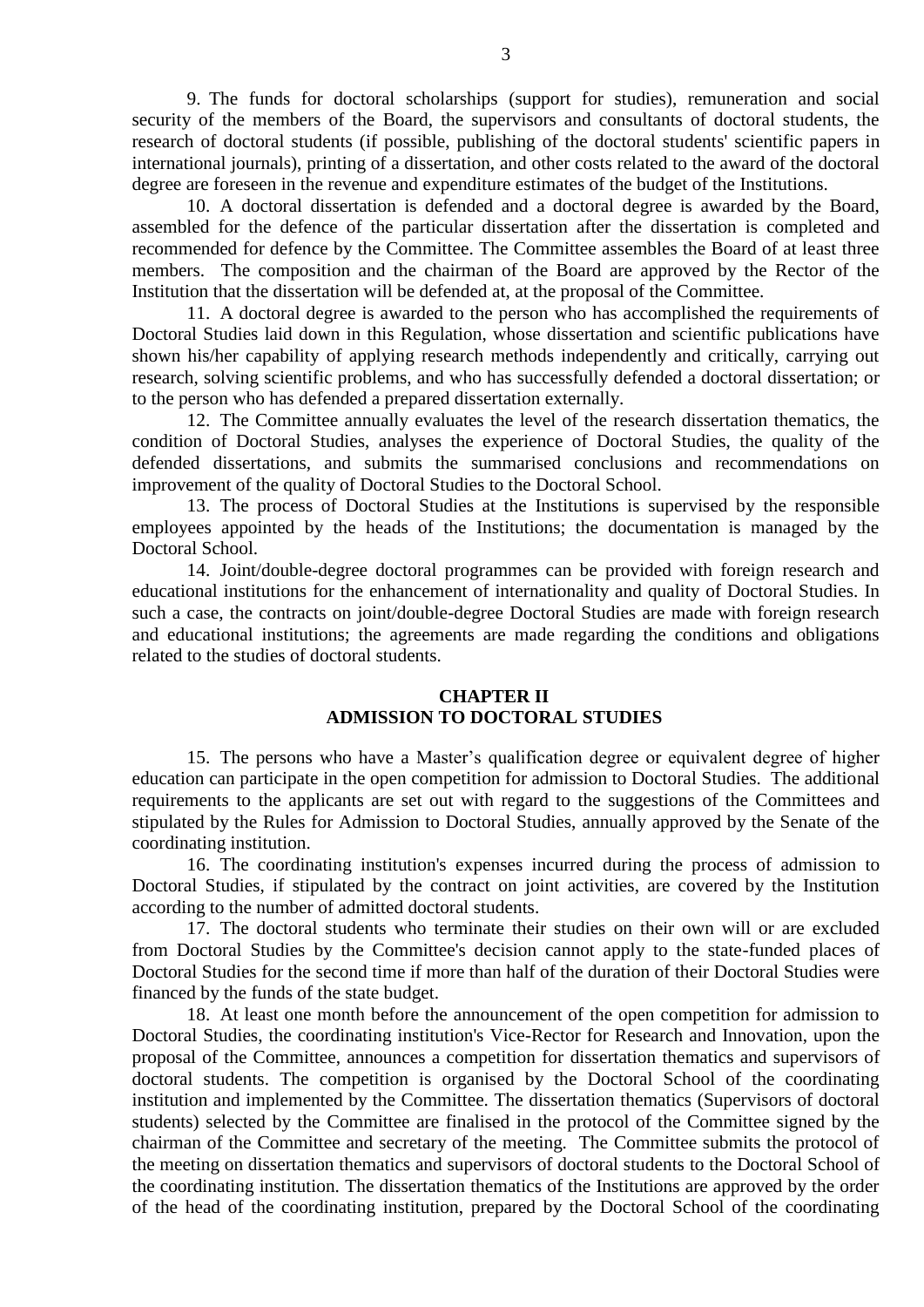9. The funds for doctoral scholarships (support for studies), remuneration and social security of the members of the Board, the supervisors and consultants of doctoral students, the research of doctoral students (if possible, publishing of the doctoral students' scientific papers in international journals), printing of a dissertation, and other costs related to the award of the doctoral degree are foreseen in the revenue and expenditure estimates of the budget of the Institutions.

10. A doctoral dissertation is defended and a doctoral degree is awarded by the Board, assembled for the defence of the particular dissertation after the dissertation is completed and recommended for defence by the Committee. The Committee assembles the Board of at least three members. The composition and the chairman of the Board are approved by the Rector of the Institution that the dissertation will be defended at, at the proposal of the Committee.

11. A doctoral degree is awarded to the person who has accomplished the requirements of Doctoral Studies laid down in this Regulation, whose dissertation and scientific publications have shown his/her capability of applying research methods independently and critically, carrying out research, solving scientific problems, and who has successfully defended a doctoral dissertation; or to the person who has defended a prepared dissertation externally.

12. The Committee annually evaluates the level of the research dissertation thematics, the condition of Doctoral Studies, analyses the experience of Doctoral Studies, the quality of the defended dissertations, and submits the summarised conclusions and recommendations on improvement of the quality of Doctoral Studies to the Doctoral School.

13. The process of Doctoral Studies at the Institutions is supervised by the responsible employees appointed by the heads of the Institutions; the documentation is managed by the Doctoral School.

14. Joint/double-degree doctoral programmes can be provided with foreign research and educational institutions for the enhancement of internationality and quality of Doctoral Studies. In such a case, the contracts on joint/double-degree Doctoral Studies are made with foreign research and educational institutions; the agreements are made regarding the conditions and obligations related to the studies of doctoral students.

#### **CHAPTER II ADMISSION TO DOCTORAL STUDIES**

15. The persons who have a Master's qualification degree or equivalent degree of higher education can participate in the open competition for admission to Doctoral Studies. The additional requirements to the applicants are set out with regard to the suggestions of the Committees and stipulated by the Rules for Admission to Doctoral Studies, annually approved by the Senate of the coordinating institution.

16. The coordinating institution's expenses incurred during the process of admission to Doctoral Studies, if stipulated by the contract on joint activities, are covered by the Institution according to the number of admitted doctoral students.

17. The doctoral students who terminate their studies on their own will or are excluded from Doctoral Studies by the Committee's decision cannot apply to the state-funded places of Doctoral Studies for the second time if more than half of the duration of their Doctoral Studies were financed by the funds of the state budget.

18. At least one month before the announcement of the open competition for admission to Doctoral Studies, the coordinating institution's Vice-Rector for Research and Innovation, upon the proposal of the Committee, announces a competition for dissertation thematics and supervisors of doctoral students. The competition is organised by the Doctoral School of the coordinating institution and implemented by the Committee. The dissertation thematics (Supervisors of doctoral students) selected by the Committee are finalised in the protocol of the Committee signed by the chairman of the Committee and secretary of the meeting. The Committee submits the protocol of the meeting on dissertation thematics and supervisors of doctoral students to the Doctoral School of the coordinating institution. The dissertation thematics of the Institutions are approved by the order of the head of the coordinating institution, prepared by the Doctoral School of the coordinating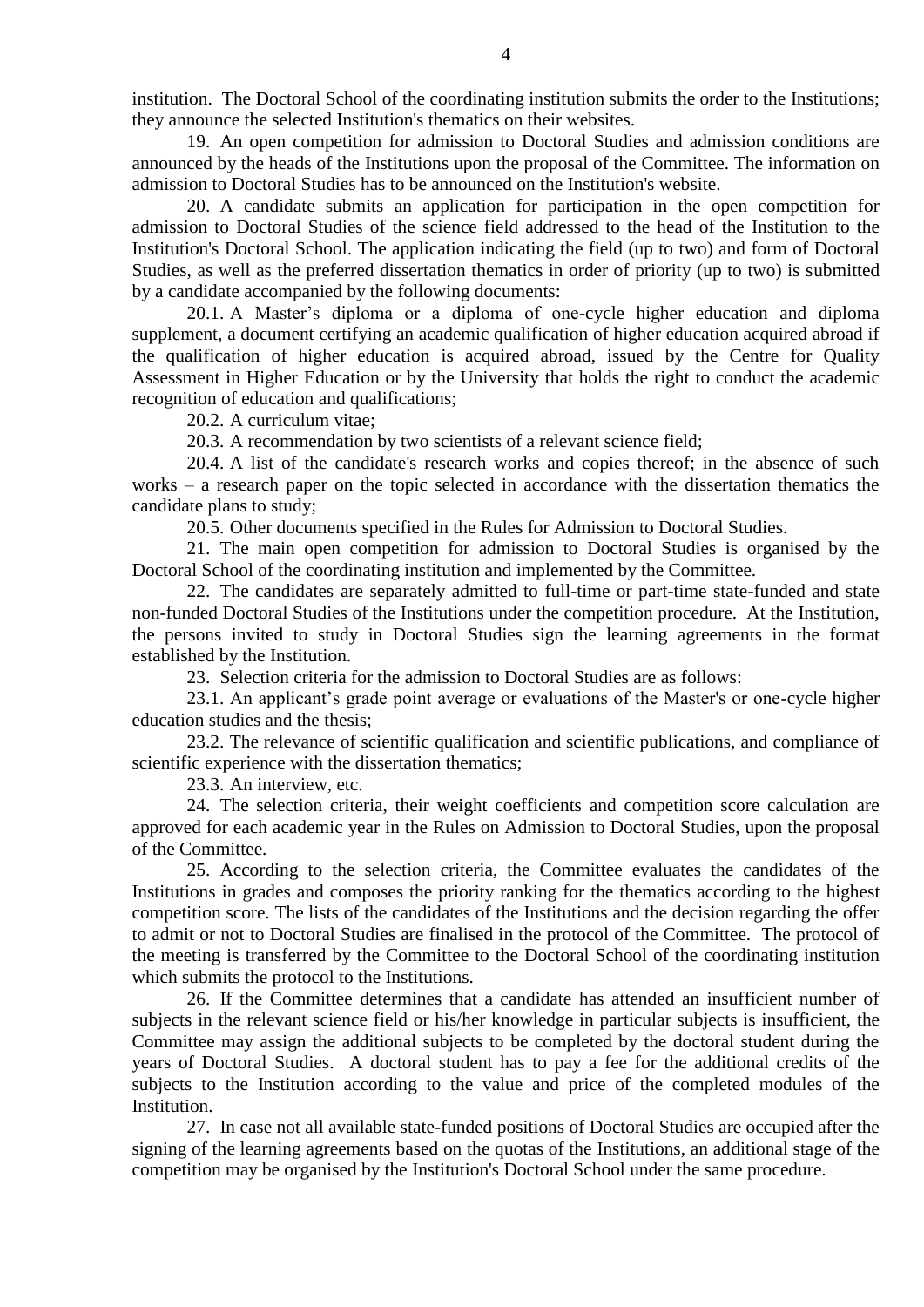institution. The Doctoral School of the coordinating institution submits the order to the Institutions; they announce the selected Institution's thematics on their websites.

19. An open competition for admission to Doctoral Studies and admission conditions are announced by the heads of the Institutions upon the proposal of the Committee. The information on admission to Doctoral Studies has to be announced on the Institution's website.

20. A candidate submits an application for participation in the open competition for admission to Doctoral Studies of the science field addressed to the head of the Institution to the Institution's Doctoral School. The application indicating the field (up to two) and form of Doctoral Studies, as well as the preferred dissertation thematics in order of priority (up to two) is submitted by a candidate accompanied by the following documents:

20.1. A Master's diploma or a diploma of one-cycle higher education and diploma supplement, a document certifying an academic qualification of higher education acquired abroad if the qualification of higher education is acquired abroad, issued by the Centre for Quality Assessment in Higher Education or by the University that holds the right to conduct the academic recognition of education and qualifications;

20.2. A curriculum vitae;

20.3. A recommendation by two scientists of a relevant science field;

20.4. A list of the candidate's research works and copies thereof; in the absence of such works – a research paper on the topic selected in accordance with the dissertation thematics the candidate plans to study;

20.5. Other documents specified in the Rules for Admission to Doctoral Studies.

21. The main open competition for admission to Doctoral Studies is organised by the Doctoral School of the coordinating institution and implemented by the Committee.

22. The candidates are separately admitted to full-time or part-time state-funded and state non-funded Doctoral Studies of the Institutions under the competition procedure. At the Institution, the persons invited to study in Doctoral Studies sign the learning agreements in the format established by the Institution.

23. Selection criteria for the admission to Doctoral Studies are as follows:

23.1. An applicant's grade point average or evaluations of the Master's or one-cycle higher education studies and the thesis;

23.2. The relevance of scientific qualification and scientific publications, and compliance of scientific experience with the dissertation thematics;

23.3. An interview, etc.

24. The selection criteria, their weight coefficients and competition score calculation are approved for each academic year in the Rules on Admission to Doctoral Studies, upon the proposal of the Committee.

25. According to the selection criteria, the Committee evaluates the candidates of the Institutions in grades and composes the priority ranking for the thematics according to the highest competition score. The lists of the candidates of the Institutions and the decision regarding the offer to admit or not to Doctoral Studies are finalised in the protocol of the Committee. The protocol of the meeting is transferred by the Committee to the Doctoral School of the coordinating institution which submits the protocol to the Institutions.

26. If the Committee determines that a candidate has attended an insufficient number of subjects in the relevant science field or his/her knowledge in particular subjects is insufficient, the Committee may assign the additional subjects to be completed by the doctoral student during the years of Doctoral Studies. A doctoral student has to pay a fee for the additional credits of the subjects to the Institution according to the value and price of the completed modules of the Institution.

27. In case not all available state-funded positions of Doctoral Studies are occupied after the signing of the learning agreements based on the quotas of the Institutions, an additional stage of the competition may be organised by the Institution's Doctoral School under the same procedure.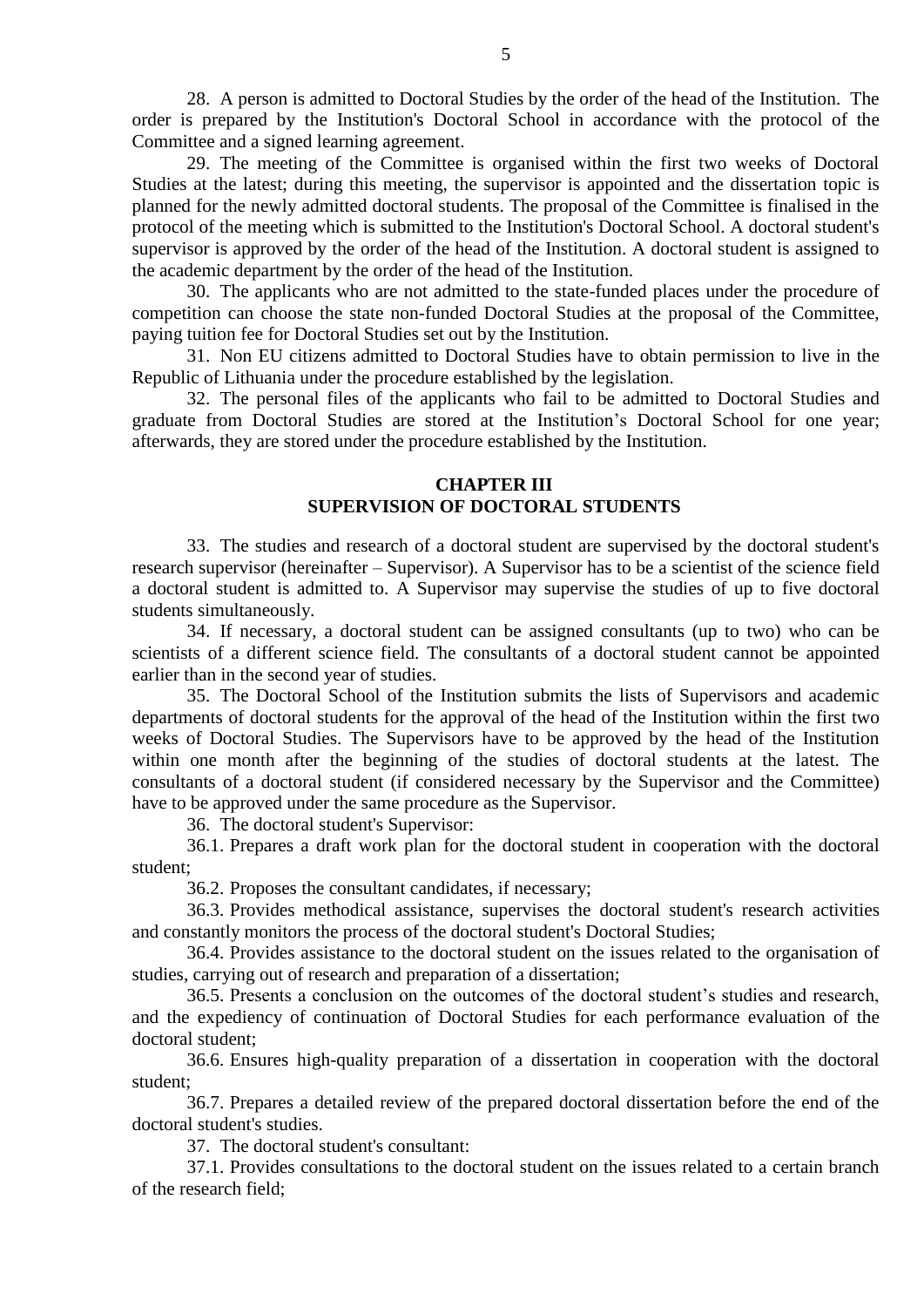28. A person is admitted to Doctoral Studies by the order of the head of the Institution. The order is prepared by the Institution's Doctoral School in accordance with the protocol of the Committee and a signed learning agreement.

29. The meeting of the Committee is organised within the first two weeks of Doctoral Studies at the latest; during this meeting, the supervisor is appointed and the dissertation topic is planned for the newly admitted doctoral students. The proposal of the Committee is finalised in the protocol of the meeting which is submitted to the Institution's Doctoral School. A doctoral student's supervisor is approved by the order of the head of the Institution. A doctoral student is assigned to the academic department by the order of the head of the Institution.

30. The applicants who are not admitted to the state-funded places under the procedure of competition can choose the state non-funded Doctoral Studies at the proposal of the Committee, paying tuition fee for Doctoral Studies set out by the Institution.

31. Non EU citizens admitted to Doctoral Studies have to obtain permission to live in the Republic of Lithuania under the procedure established by the legislation.

32. The personal files of the applicants who fail to be admitted to Doctoral Studies and graduate from Doctoral Studies are stored at the Institution's Doctoral School for one year; afterwards, they are stored under the procedure established by the Institution.

## **CHAPTER III SUPERVISION OF DOCTORAL STUDENTS**

33. The studies and research of a doctoral student are supervised by the doctoral student's research supervisor (hereinafter – Supervisor). A Supervisor has to be a scientist of the science field a doctoral student is admitted to. A Supervisor may supervise the studies of up to five doctoral students simultaneously.

34. If necessary, a doctoral student can be assigned consultants (up to two) who can be scientists of a different science field. The consultants of a doctoral student cannot be appointed earlier than in the second year of studies.

35. The Doctoral School of the Institution submits the lists of Supervisors and academic departments of doctoral students for the approval of the head of the Institution within the first two weeks of Doctoral Studies. The Supervisors have to be approved by the head of the Institution within one month after the beginning of the studies of doctoral students at the latest. The consultants of a doctoral student (if considered necessary by the Supervisor and the Committee) have to be approved under the same procedure as the Supervisor.

36. The doctoral student's Supervisor:

36.1. Prepares a draft work plan for the doctoral student in cooperation with the doctoral student;

36.2. Proposes the consultant candidates, if necessary;

36.3. Provides methodical assistance, supervises the doctoral student's research activities and constantly monitors the process of the doctoral student's Doctoral Studies;

36.4. Provides assistance to the doctoral student on the issues related to the organisation of studies, carrying out of research and preparation of a dissertation;

36.5. Presents a conclusion on the outcomes of the doctoral student's studies and research, and the expediency of continuation of Doctoral Studies for each performance evaluation of the doctoral student;

36.6. Ensures high-quality preparation of a dissertation in cooperation with the doctoral student;

36.7. Prepares a detailed review of the prepared doctoral dissertation before the end of the doctoral student's studies.

37. The doctoral student's consultant:

37.1. Provides consultations to the doctoral student on the issues related to a certain branch of the research field;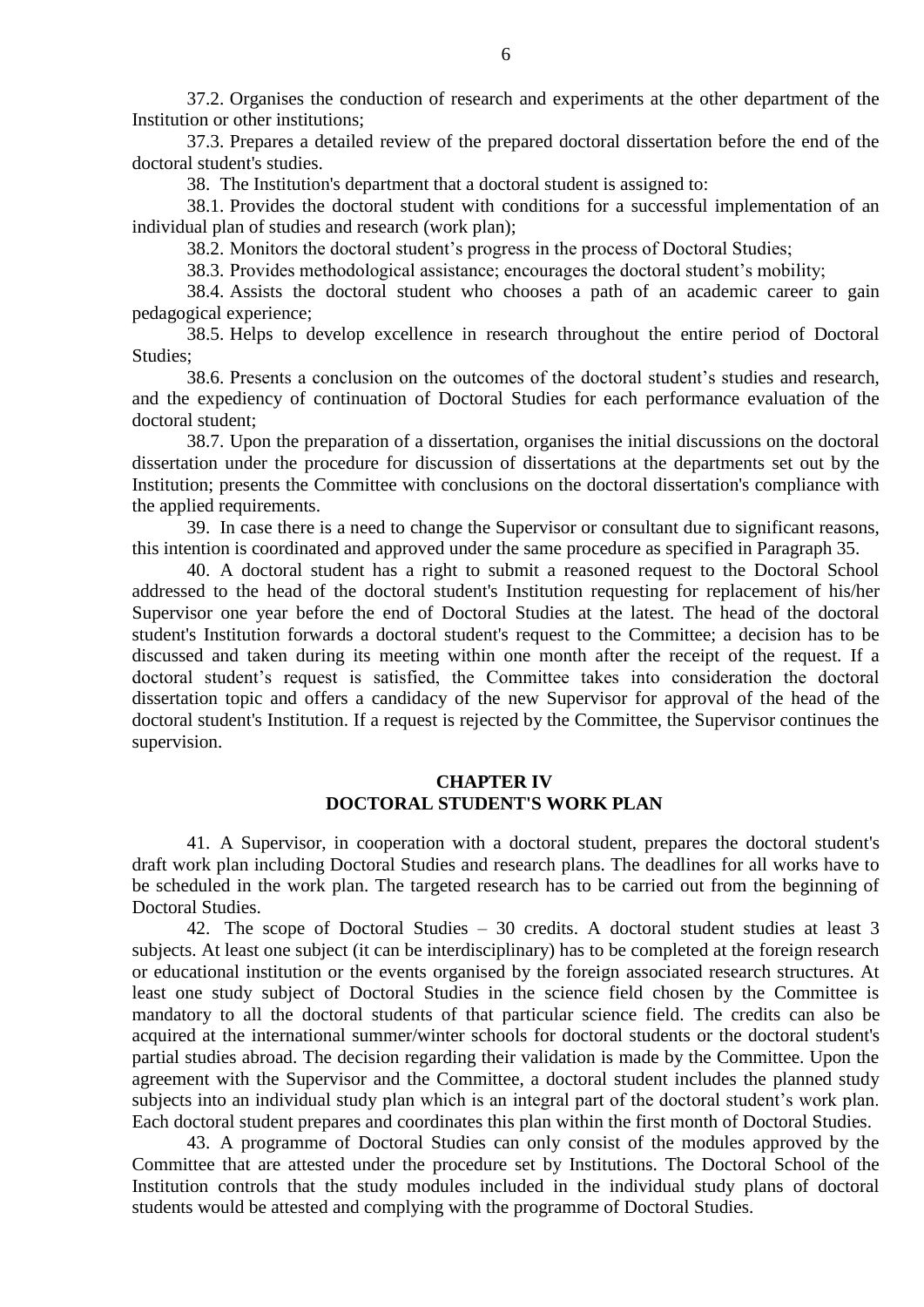37.2. Organises the conduction of research and experiments at the other department of the Institution or other institutions;

37.3. Prepares a detailed review of the prepared doctoral dissertation before the end of the doctoral student's studies.

38. The Institution's department that a doctoral student is assigned to:

38.1. Provides the doctoral student with conditions for a successful implementation of an individual plan of studies and research (work plan);

38.2. Monitors the doctoral student's progress in the process of Doctoral Studies;

38.3. Provides methodological assistance; encourages the doctoral student's mobility;

38.4. Assists the doctoral student who chooses a path of an academic career to gain pedagogical experience;

38.5. Helps to develop excellence in research throughout the entire period of Doctoral Studies;

38.6. Presents a conclusion on the outcomes of the doctoral student's studies and research, and the expediency of continuation of Doctoral Studies for each performance evaluation of the doctoral student;

38.7. Upon the preparation of a dissertation, organises the initial discussions on the doctoral dissertation under the procedure for discussion of dissertations at the departments set out by the Institution; presents the Committee with conclusions on the doctoral dissertation's compliance with the applied requirements.

39. In case there is a need to change the Supervisor or consultant due to significant reasons, this intention is coordinated and approved under the same procedure as specified in Paragraph 35.

40. A doctoral student has a right to submit a reasoned request to the Doctoral School addressed to the head of the doctoral student's Institution requesting for replacement of his/her Supervisor one year before the end of Doctoral Studies at the latest. The head of the doctoral student's Institution forwards a doctoral student's request to the Committee; a decision has to be discussed and taken during its meeting within one month after the receipt of the request. If a doctoral student's request is satisfied, the Committee takes into consideration the doctoral dissertation topic and offers a candidacy of the new Supervisor for approval of the head of the doctoral student's Institution. If a request is rejected by the Committee, the Supervisor continues the supervision.

#### **CHAPTER IV DOCTORAL STUDENT'S WORK PLAN**

41. A Supervisor, in cooperation with a doctoral student, prepares the doctoral student's draft work plan including Doctoral Studies and research plans. The deadlines for all works have to be scheduled in the work plan. The targeted research has to be carried out from the beginning of Doctoral Studies.

42. The scope of Doctoral Studies – 30 credits. A doctoral student studies at least 3 subjects. At least one subject (it can be interdisciplinary) has to be completed at the foreign research or educational institution or the events organised by the foreign associated research structures. At least one study subject of Doctoral Studies in the science field chosen by the Committee is mandatory to all the doctoral students of that particular science field. The credits can also be acquired at the international summer/winter schools for doctoral students or the doctoral student's partial studies abroad. The decision regarding their validation is made by the Committee. Upon the agreement with the Supervisor and the Committee, a doctoral student includes the planned study subjects into an individual study plan which is an integral part of the doctoral student's work plan. Each doctoral student prepares and coordinates this plan within the first month of Doctoral Studies.

43. A programme of Doctoral Studies can only consist of the modules approved by the Committee that are attested under the procedure set by Institutions. The Doctoral School of the Institution controls that the study modules included in the individual study plans of doctoral students would be attested and complying with the programme of Doctoral Studies.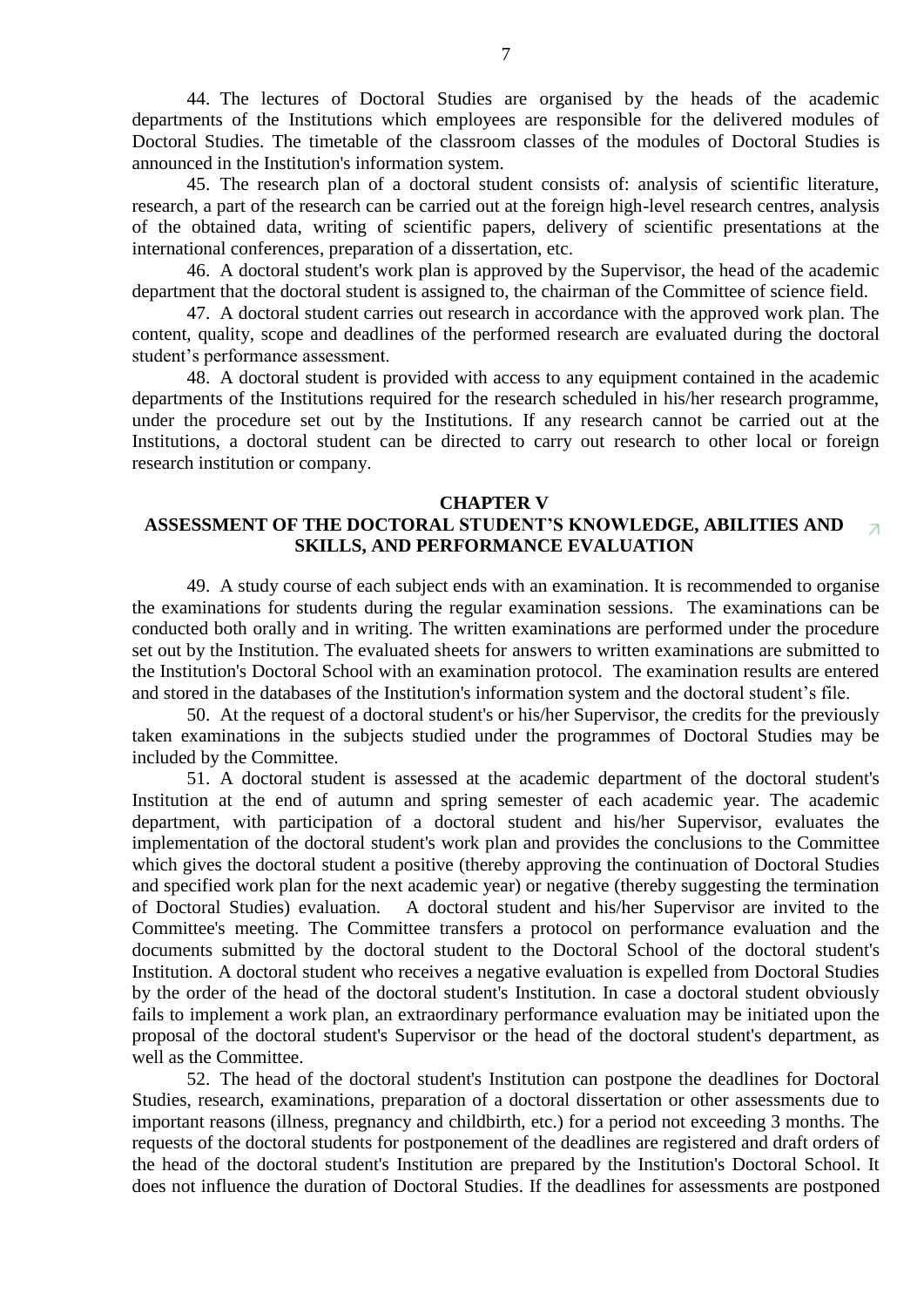44. The lectures of Doctoral Studies are organised by the heads of the academic departments of the Institutions which employees are responsible for the delivered modules of Doctoral Studies. The timetable of the classroom classes of the modules of Doctoral Studies is announced in the Institution's information system.

45. The research plan of a doctoral student consists of: analysis of scientific literature, research, a part of the research can be carried out at the foreign high-level research centres, analysis of the obtained data, writing of scientific papers, delivery of scientific presentations at the international conferences, preparation of a dissertation, etc.

46. A doctoral student's work plan is approved by the Supervisor, the head of the academic department that the doctoral student is assigned to, the chairman of the Committee of science field.

47. A doctoral student carries out research in accordance with the approved work plan. The content, quality, scope and deadlines of the performed research are evaluated during the doctoral student's performance assessment.

48. A doctoral student is provided with access to any equipment contained in the academic departments of the Institutions required for the research scheduled in his/her research programme, under the procedure set out by the Institutions. If any research cannot be carried out at the Institutions, a doctoral student can be directed to carry out research to other local or foreign research institution or company.

#### **CHAPTER V**

#### **ASSESSMENT OF THE DOCTORAL STUDENT'S KNOWLEDGE, ABILITIES AND**   $\overline{\mathcal{A}}$ **SKILLS, AND PERFORMANCE EVALUATION**

49. A study course of each subject ends with an examination. It is recommended to organise the examinations for students during the regular examination sessions. The examinations can be conducted both orally and in writing. The written examinations are performed under the procedure set out by the Institution. The evaluated sheets for answers to written examinations are submitted to the Institution's Doctoral School with an examination protocol. The examination results are entered and stored in the databases of the Institution's information system and the doctoral student's file.

50. At the request of a doctoral student's or his/her Supervisor, the credits for the previously taken examinations in the subjects studied under the programmes of Doctoral Studies may be included by the Committee.

51. A doctoral student is assessed at the academic department of the doctoral student's Institution at the end of autumn and spring semester of each academic year. The academic department, with participation of a doctoral student and his/her Supervisor, evaluates the implementation of the doctoral student's work plan and provides the conclusions to the Committee which gives the doctoral student a positive (thereby approving the continuation of Doctoral Studies and specified work plan for the next academic year) or negative (thereby suggesting the termination of Doctoral Studies) evaluation. A doctoral student and his/her Supervisor are invited to the Committee's meeting. The Committee transfers a protocol on performance evaluation and the documents submitted by the doctoral student to the Doctoral School of the doctoral student's Institution. A doctoral student who receives a negative evaluation is expelled from Doctoral Studies by the order of the head of the doctoral student's Institution. In case a doctoral student obviously fails to implement a work plan, an extraordinary performance evaluation may be initiated upon the proposal of the doctoral student's Supervisor or the head of the doctoral student's department, as well as the Committee.

52. The head of the doctoral student's Institution can postpone the deadlines for Doctoral Studies, research, examinations, preparation of a doctoral dissertation or other assessments due to important reasons (illness, pregnancy and childbirth, etc.) for a period not exceeding 3 months. The requests of the doctoral students for postponement of the deadlines are registered and draft orders of the head of the doctoral student's Institution are prepared by the Institution's Doctoral School. It does not influence the duration of Doctoral Studies. If the deadlines for assessments are postponed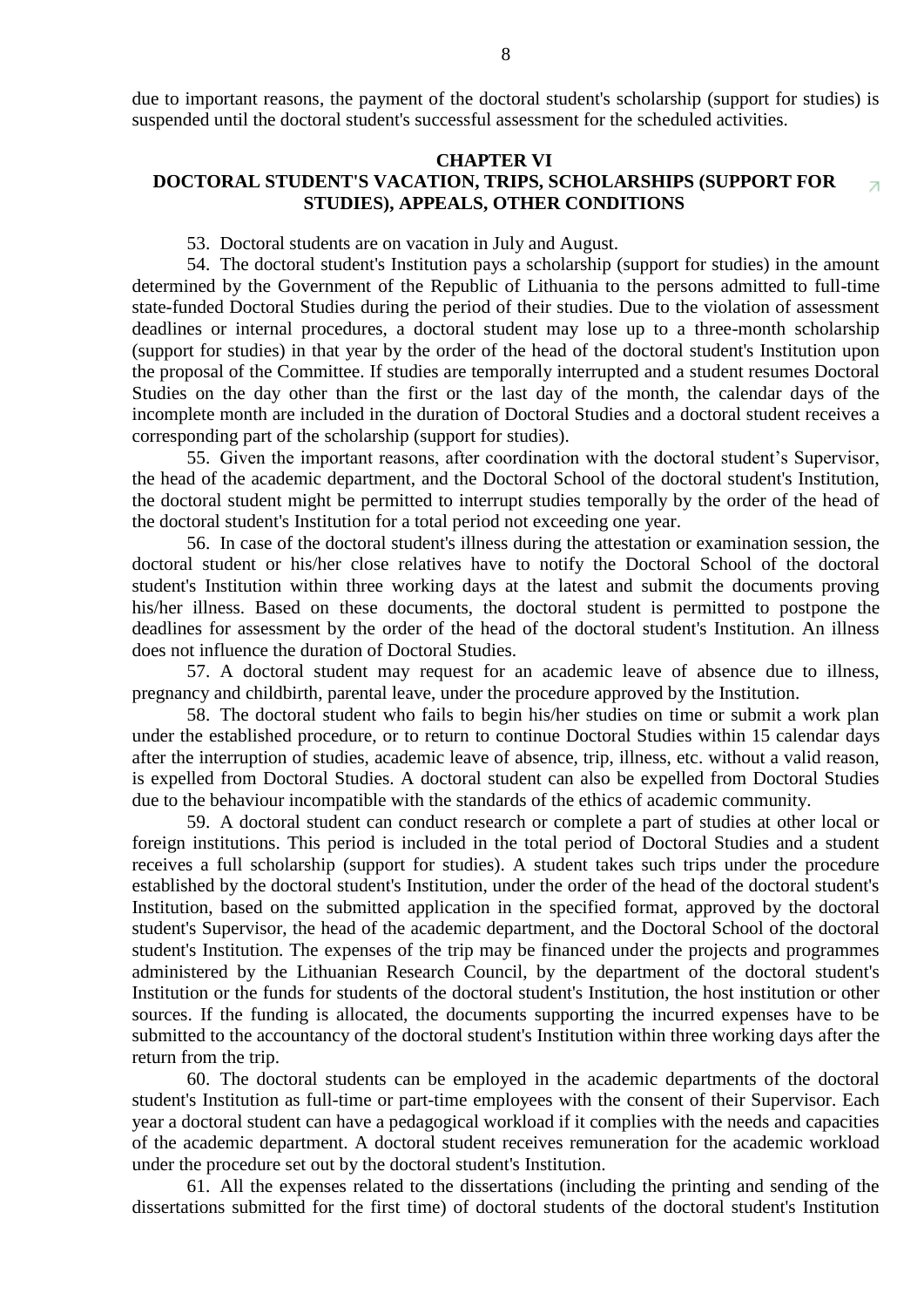#### **CHAPTER VI**

#### **DOCTORAL STUDENT'S VACATION, TRIPS, SCHOLARSHIPS (SUPPORT FOR**  7 **STUDIES), APPEALS, OTHER CONDITIONS**

53. Doctoral students are on vacation in July and August.

54. The doctoral student's Institution pays a scholarship (support for studies) in the amount determined by the Government of the Republic of Lithuania to the persons admitted to full-time state-funded Doctoral Studies during the period of their studies. Due to the violation of assessment deadlines or internal procedures, a doctoral student may lose up to a three-month scholarship (support for studies) in that year by the order of the head of the doctoral student's Institution upon the proposal of the Committee. If studies are temporally interrupted and a student resumes Doctoral Studies on the day other than the first or the last day of the month, the calendar days of the incomplete month are included in the duration of Doctoral Studies and a doctoral student receives a corresponding part of the scholarship (support for studies).

55. Given the important reasons, after coordination with the doctoral student's Supervisor, the head of the academic department, and the Doctoral School of the doctoral student's Institution, the doctoral student might be permitted to interrupt studies temporally by the order of the head of the doctoral student's Institution for a total period not exceeding one year.

56. In case of the doctoral student's illness during the attestation or examination session, the doctoral student or his/her close relatives have to notify the Doctoral School of the doctoral student's Institution within three working days at the latest and submit the documents proving his/her illness. Based on these documents, the doctoral student is permitted to postpone the deadlines for assessment by the order of the head of the doctoral student's Institution. An illness does not influence the duration of Doctoral Studies.

57. A doctoral student may request for an academic leave of absence due to illness, pregnancy and childbirth, parental leave, under the procedure approved by the Institution.

58. The doctoral student who fails to begin his/her studies on time or submit a work plan under the established procedure, or to return to continue Doctoral Studies within 15 calendar days after the interruption of studies, academic leave of absence, trip, illness, etc. without a valid reason, is expelled from Doctoral Studies. A doctoral student can also be expelled from Doctoral Studies due to the behaviour incompatible with the standards of the ethics of academic community.

59. A doctoral student can conduct research or complete a part of studies at other local or foreign institutions. This period is included in the total period of Doctoral Studies and a student receives a full scholarship (support for studies). A student takes such trips under the procedure established by the doctoral student's Institution, under the order of the head of the doctoral student's Institution, based on the submitted application in the specified format, approved by the doctoral student's Supervisor, the head of the academic department, and the Doctoral School of the doctoral student's Institution. The expenses of the trip may be financed under the projects and programmes administered by the Lithuanian Research Council, by the department of the doctoral student's Institution or the funds for students of the doctoral student's Institution, the host institution or other sources. If the funding is allocated, the documents supporting the incurred expenses have to be submitted to the accountancy of the doctoral student's Institution within three working days after the return from the trip.

60. The doctoral students can be employed in the academic departments of the doctoral student's Institution as full-time or part-time employees with the consent of their Supervisor. Each year a doctoral student can have a pedagogical workload if it complies with the needs and capacities of the academic department. A doctoral student receives remuneration for the academic workload under the procedure set out by the doctoral student's Institution.

61. All the expenses related to the dissertations (including the printing and sending of the dissertations submitted for the first time) of doctoral students of the doctoral student's Institution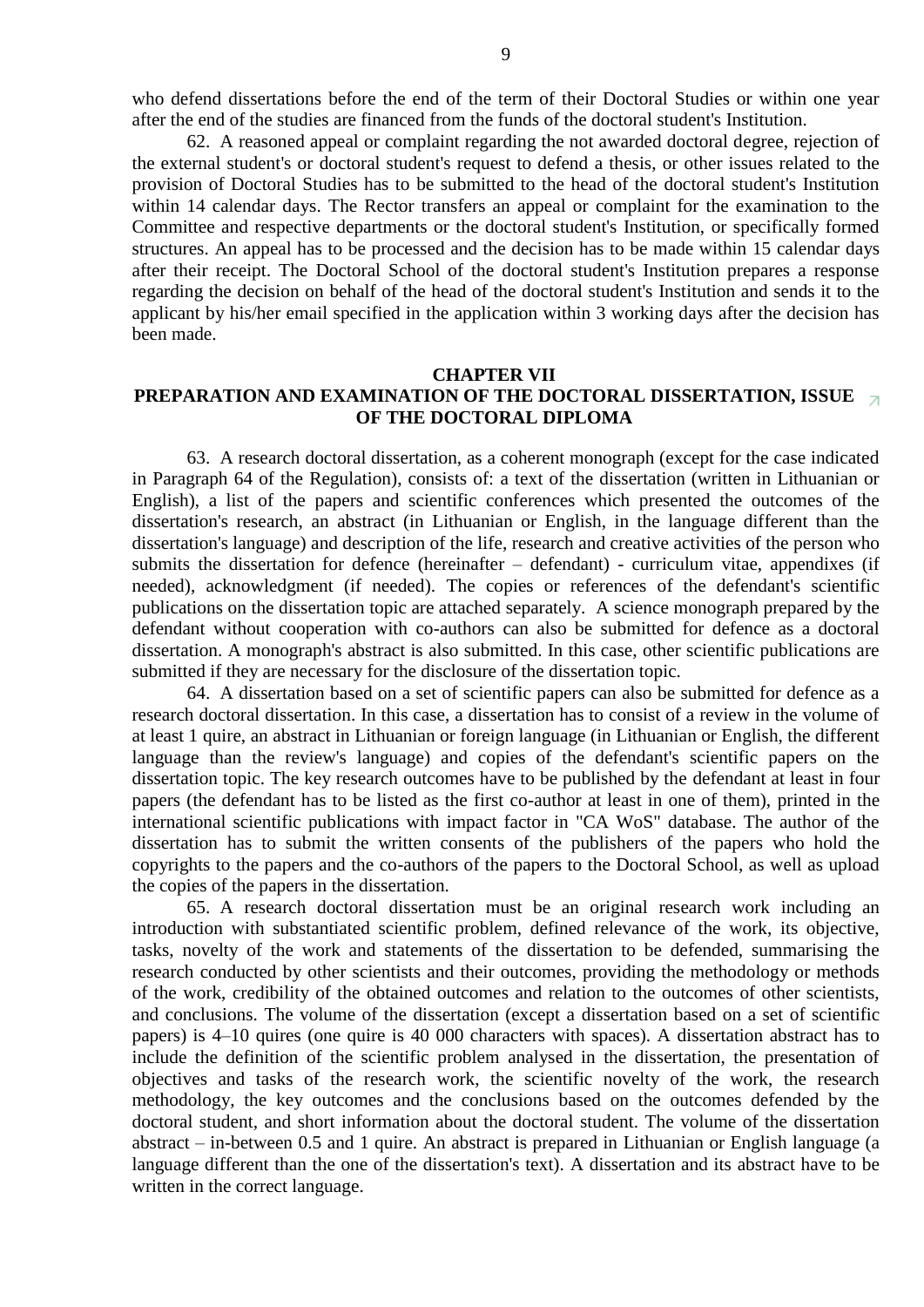who defend dissertations before the end of the term of their Doctoral Studies or within one year after the end of the studies are financed from the funds of the doctoral student's Institution.

62. A reasoned appeal or complaint regarding the not awarded doctoral degree, rejection of the external student's or doctoral student's request to defend a thesis, or other issues related to the provision of Doctoral Studies has to be submitted to the head of the doctoral student's Institution within 14 calendar days. The Rector transfers an appeal or complaint for the examination to the Committee and respective departments or the doctoral student's Institution, or specifically formed structures. An appeal has to be processed and the decision has to be made within 15 calendar days after their receipt. The Doctoral School of the doctoral student's Institution prepares a response regarding the decision on behalf of the head of the doctoral student's Institution and sends it to the applicant by his/her email specified in the application within 3 working days after the decision has been made.

#### **CHAPTER VII**

#### **PREPARATION AND EXAMINATION OF THE DOCTORAL DISSERTATION, ISSU[E](http://www.ktu.lt/lt/informacija_studentams/doktorantura/reglamentas.asp#top)  OF THE DOCTORAL DIPLOMA**

63. A research doctoral dissertation, as a coherent monograph (except for the case indicated in Paragraph 64 of the Regulation), consists of: a text of the dissertation (written in Lithuanian or English), a list of the papers and scientific conferences which presented the outcomes of the dissertation's research, an abstract (in Lithuanian or English, in the language different than the dissertation's language) and description of the life, research and creative activities of the person who submits the dissertation for defence (hereinafter – defendant) - curriculum vitae, appendixes (if needed), acknowledgment (if needed). The copies or references of the defendant's scientific publications on the dissertation topic are attached separately. A science monograph prepared by the defendant without cooperation with co-authors can also be submitted for defence as a doctoral dissertation. A monograph's abstract is also submitted. In this case, other scientific publications are submitted if they are necessary for the disclosure of the dissertation topic.

64. A dissertation based on a set of scientific papers can also be submitted for defence as a research doctoral dissertation. In this case, a dissertation has to consist of a review in the volume of at least 1 quire, an abstract in Lithuanian or foreign language (in Lithuanian or English, the different language than the review's language) and copies of the defendant's scientific papers on the dissertation topic. The key research outcomes have to be published by the defendant at least in four papers (the defendant has to be listed as the first co-author at least in one of them), printed in the international scientific publications with impact factor in "CA WoS" database. The author of the dissertation has to submit the written consents of the publishers of the papers who hold the copyrights to the papers and the co-authors of the papers to the Doctoral School, as well as upload the copies of the papers in the dissertation.

65. A research doctoral dissertation must be an original research work including an introduction with substantiated scientific problem, defined relevance of the work, its objective, tasks, novelty of the work and statements of the dissertation to be defended, summarising the research conducted by other scientists and their outcomes, providing the methodology or methods of the work, credibility of the obtained outcomes and relation to the outcomes of other scientists, and conclusions. The volume of the dissertation (except a dissertation based on a set of scientific papers) is 4–10 quires (one quire is 40 000 characters with spaces). A dissertation abstract has to include the definition of the scientific problem analysed in the dissertation, the presentation of objectives and tasks of the research work, the scientific novelty of the work, the research methodology, the key outcomes and the conclusions based on the outcomes defended by the doctoral student, and short information about the doctoral student. The volume of the dissertation abstract – in-between 0.5 and 1 quire. An abstract is prepared in Lithuanian or English language (a language different than the one of the dissertation's text). A dissertation and its abstract have to be written in the correct language.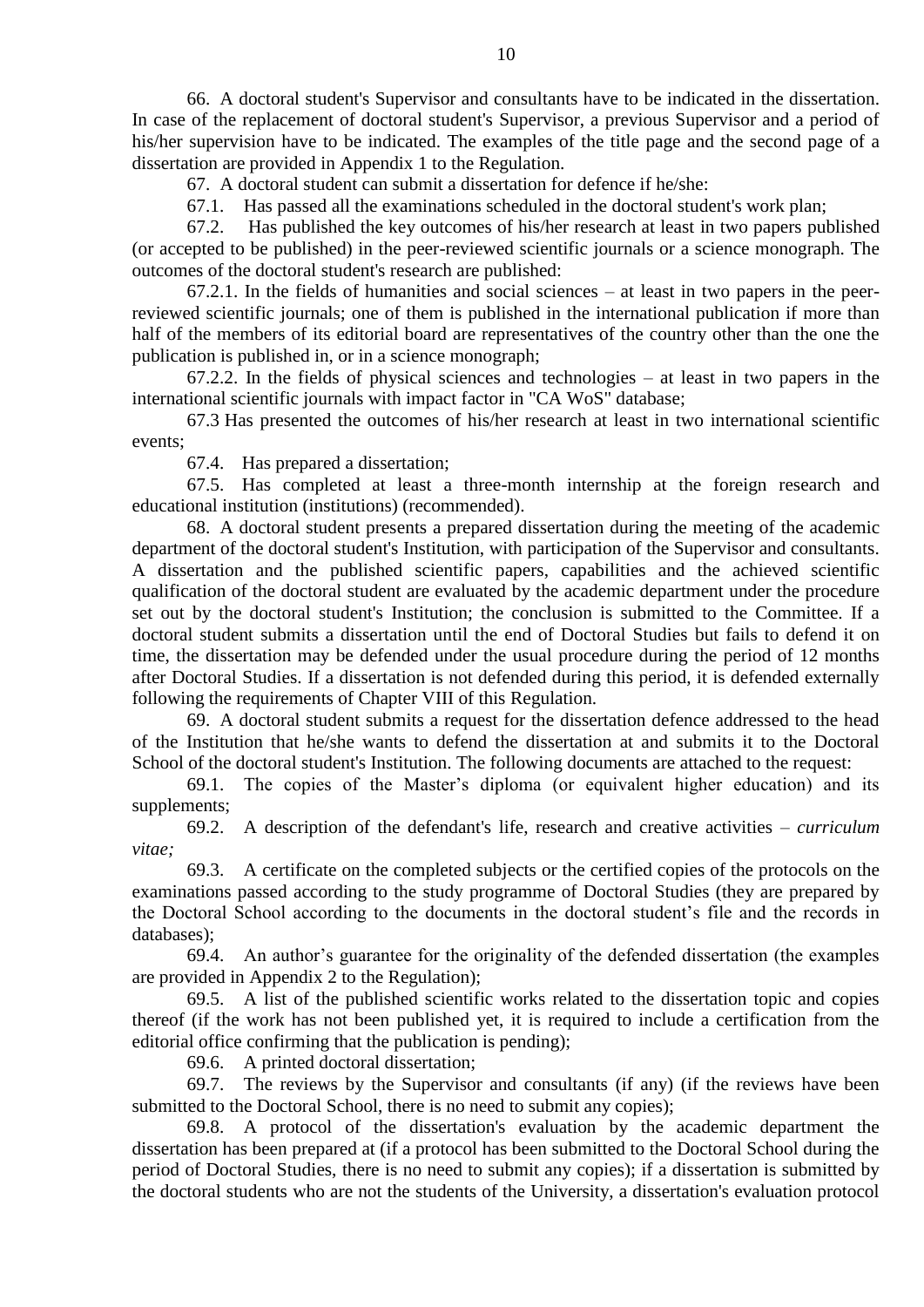66. A doctoral student's Supervisor and consultants have to be indicated in the dissertation. In case of the replacement of doctoral student's Supervisor, a previous Supervisor and a period of his/her supervision have to be indicated. The examples of the title page and the second page of a dissertation are provided in Appendix 1 to the Regulation.

67. A doctoral student can submit a dissertation for defence if he/she:

67.1. Has passed all the examinations scheduled in the doctoral student's work plan;

67.2. Has published the key outcomes of his/her research at least in two papers published (or accepted to be published) in the peer-reviewed scientific journals or a science monograph. The outcomes of the doctoral student's research are published:

67.2.1. In the fields of humanities and social sciences – at least in two papers in the peerreviewed scientific journals; one of them is published in the international publication if more than half of the members of its editorial board are representatives of the country other than the one the publication is published in, or in a science monograph;

67.2.2. In the fields of physical sciences and technologies – at least in two papers in the international scientific journals with impact factor in "CA WoS" database;

67.3 Has presented the outcomes of his/her research at least in two international scientific events;

67.4. Has prepared a dissertation;

67.5. Has completed at least a three-month internship at the foreign research and educational institution (institutions) (recommended).

68. A doctoral student presents a prepared dissertation during the meeting of the academic department of the doctoral student's Institution, with participation of the Supervisor and consultants. A dissertation and the published scientific papers, capabilities and the achieved scientific qualification of the doctoral student are evaluated by the academic department under the procedure set out by the doctoral student's Institution; the conclusion is submitted to the Committee. If a doctoral student submits a dissertation until the end of Doctoral Studies but fails to defend it on time, the dissertation may be defended under the usual procedure during the period of 12 months after Doctoral Studies. If a dissertation is not defended during this period, it is defended externally following the requirements of Chapter VIII of this Regulation.

69. A doctoral student submits a request for the dissertation defence addressed to the head of the Institution that he/she wants to defend the dissertation at and submits it to the Doctoral School of the doctoral student's Institution. The following documents are attached to the request:

69.1. The copies of the Master's diploma (or equivalent higher education) and its supplements;

69.2. A description of the defendant's life, research and creative activities – *curriculum vitae;*

69.3. A certificate on the completed subjects or the certified copies of the protocols on the examinations passed according to the study programme of Doctoral Studies (they are prepared by the Doctoral School according to the documents in the doctoral student's file and the records in databases);

69.4. An author's guarantee for the originality of the defended dissertation (the examples are provided in Appendix 2 to the Regulation);

69.5. A list of the published scientific works related to the dissertation topic and copies thereof (if the work has not been published yet, it is required to include a certification from the editorial office confirming that the publication is pending);

69.6. A printed doctoral dissertation;

69.7. The reviews by the Supervisor and consultants (if any) (if the reviews have been submitted to the Doctoral School, there is no need to submit any copies);

69.8. A protocol of the dissertation's evaluation by the academic department the dissertation has been prepared at (if a protocol has been submitted to the Doctoral School during the period of Doctoral Studies, there is no need to submit any copies); if a dissertation is submitted by the doctoral students who are not the students of the University, a dissertation's evaluation protocol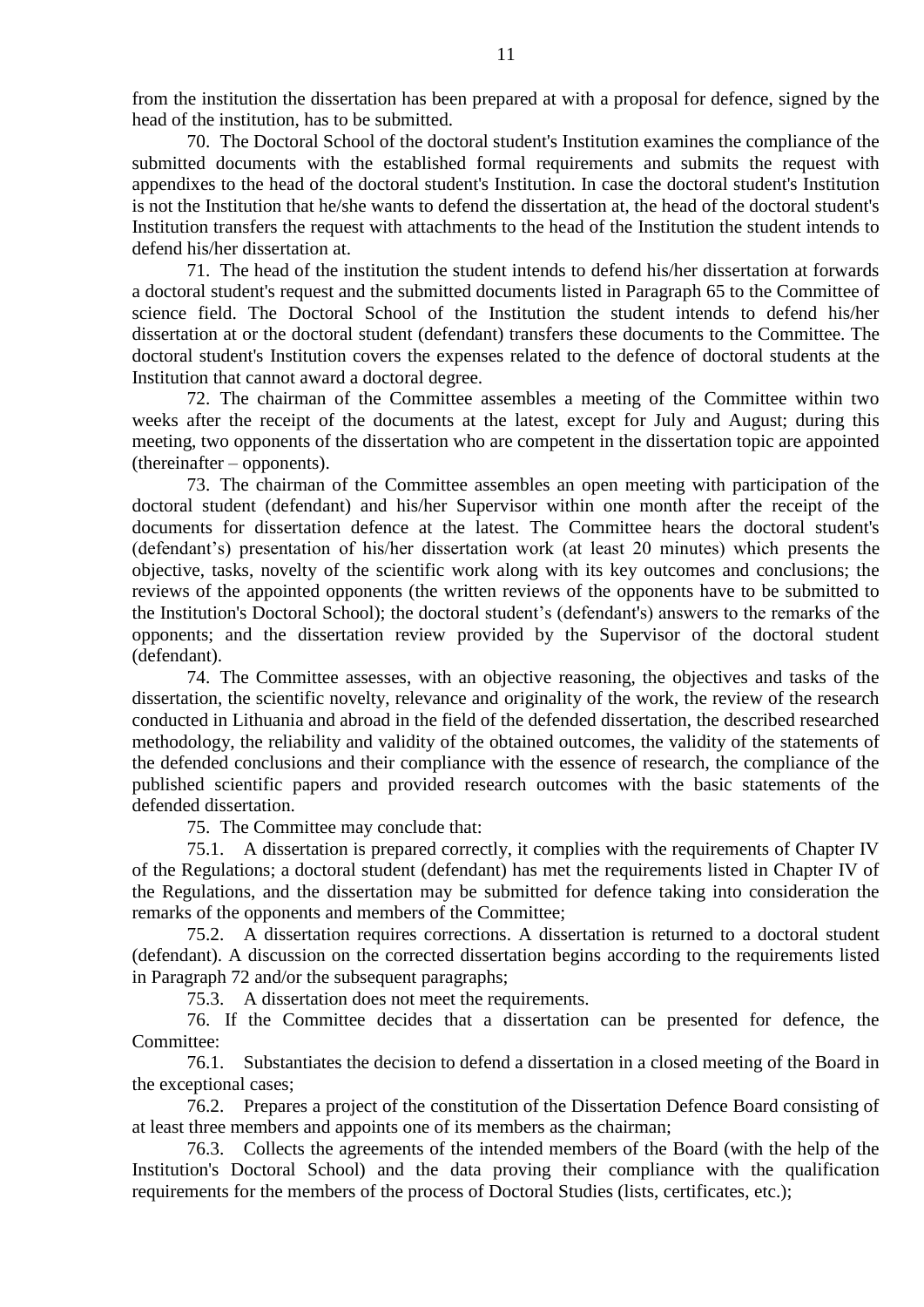from the institution the dissertation has been prepared at with a proposal for defence, signed by the head of the institution, has to be submitted.

70. The Doctoral School of the doctoral student's Institution examines the compliance of the submitted documents with the established formal requirements and submits the request with appendixes to the head of the doctoral student's Institution. In case the doctoral student's Institution is not the Institution that he/she wants to defend the dissertation at, the head of the doctoral student's Institution transfers the request with attachments to the head of the Institution the student intends to defend his/her dissertation at.

71. The head of the institution the student intends to defend his/her dissertation at forwards a doctoral student's request and the submitted documents listed in Paragraph 65 to the Committee of science field. The Doctoral School of the Institution the student intends to defend his/her dissertation at or the doctoral student (defendant) transfers these documents to the Committee. The doctoral student's Institution covers the expenses related to the defence of doctoral students at the Institution that cannot award a doctoral degree.

72. The chairman of the Committee assembles a meeting of the Committee within two weeks after the receipt of the documents at the latest, except for July and August; during this meeting, two opponents of the dissertation who are competent in the dissertation topic are appointed (thereinafter – opponents).

73. The chairman of the Committee assembles an open meeting with participation of the doctoral student (defendant) and his/her Supervisor within one month after the receipt of the documents for dissertation defence at the latest. The Committee hears the doctoral student's (defendant's) presentation of his/her dissertation work (at least 20 minutes) which presents the objective, tasks, novelty of the scientific work along with its key outcomes and conclusions; the reviews of the appointed opponents (the written reviews of the opponents have to be submitted to the Institution's Doctoral School); the doctoral student's (defendant's) answers to the remarks of the opponents; and the dissertation review provided by the Supervisor of the doctoral student (defendant).

74. The Committee assesses, with an objective reasoning, the objectives and tasks of the dissertation, the scientific novelty, relevance and originality of the work, the review of the research conducted in Lithuania and abroad in the field of the defended dissertation, the described researched methodology, the reliability and validity of the obtained outcomes, the validity of the statements of the defended conclusions and their compliance with the essence of research, the compliance of the published scientific papers and provided research outcomes with the basic statements of the defended dissertation.

75. The Committee may conclude that:

75.1. A dissertation is prepared correctly, it complies with the requirements of Chapter IV of the Regulations; a doctoral student (defendant) has met the requirements listed in Chapter IV of the Regulations, and the dissertation may be submitted for defence taking into consideration the remarks of the opponents and members of the Committee;

75.2. A dissertation requires corrections. A dissertation is returned to a doctoral student (defendant). A discussion on the corrected dissertation begins according to the requirements listed in Paragraph 72 and/or the subsequent paragraphs;

75.3. A dissertation does not meet the requirements.

76. If the Committee decides that a dissertation can be presented for defence, the Committee:

<span id="page-10-0"></span>76.1. Substantiates the decision to defend a dissertation in a closed meeting of the Board in the exceptional cases;

76.2. Prepares a project of the constitution of the Dissertation Defence Board consisting of at least three members and appoints one of its members as the chairman;

76.3. Collects the agreements of the intended members of the Board (with the help of the Institution's Doctoral School) and the data proving their compliance with the qualification requirements for the members of the process of Doctoral Studies (lists, certificates, etc.);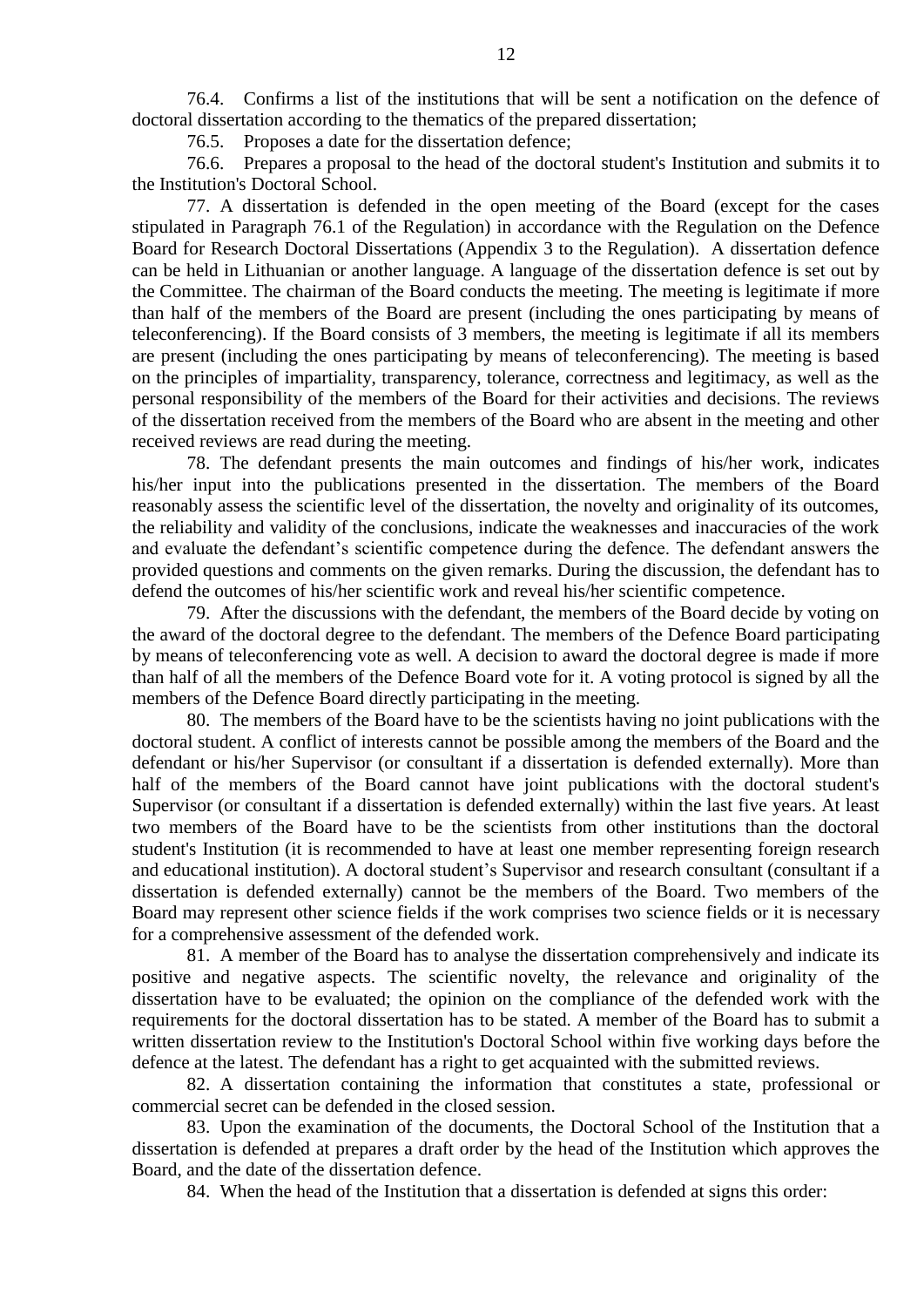<span id="page-11-0"></span>76.4. Confirms a list of the institutions that will be sent a notification on the defence of doctoral dissertation according to the thematics of the prepared dissertation;

76.5. Proposes a date for the dissertation defence;

76.6. Prepares a proposal to the head of the doctoral student's Institution and submits it to the Institution's Doctoral School.

77. A dissertation is defended in the open meeting of the Board (except for the cases stipulated in Paragraph [76.1](#page-10-0) of the Regulation) in accordance with the Regulation on the Defence Board for Research Doctoral Dissertations (Appendix 3 to the Regulation). A dissertation defence can be held in Lithuanian or another language. A language of the dissertation defence is set out by the Committee. The chairman of the Board conducts the meeting. The meeting is legitimate if more than half of the members of the Board are present (including the ones participating by means of teleconferencing). If the Board consists of 3 members, the meeting is legitimate if all its members are present (including the ones participating by means of teleconferencing). The meeting is based on the principles of impartiality, transparency, tolerance, correctness and legitimacy, as well as the personal responsibility of the members of the Board for their activities and decisions. The reviews of the dissertation received from the members of the Board who are absent in the meeting and other received reviews are read during the meeting.

78. The defendant presents the main outcomes and findings of his/her work, indicates his/her input into the publications presented in the dissertation. The members of the Board reasonably assess the scientific level of the dissertation, the novelty and originality of its outcomes, the reliability and validity of the conclusions, indicate the weaknesses and inaccuracies of the work and evaluate the defendant's scientific competence during the defence. The defendant answers the provided questions and comments on the given remarks. During the discussion, the defendant has to defend the outcomes of his/her scientific work and reveal his/her scientific competence.

79. After the discussions with the defendant, the members of the Board decide by voting on the award of the doctoral degree to the defendant. The members of the Defence Board participating by means of teleconferencing vote as well. A decision to award the doctoral degree is made if more than half of all the members of the Defence Board vote for it. A voting protocol is signed by all the members of the Defence Board directly participating in the meeting.

80. The members of the Board have to be the scientists having no joint publications with the doctoral student. A conflict of interests cannot be possible among the members of the Board and the defendant or his/her Supervisor (or consultant if a dissertation is defended externally). More than half of the members of the Board cannot have joint publications with the doctoral student's Supervisor (or consultant if a dissertation is defended externally) within the last five years. At least two members of the Board have to be the scientists from other institutions than the doctoral student's Institution (it is recommended to have at least one member representing foreign research and educational institution). A doctoral student's Supervisor and research consultant (consultant if a dissertation is defended externally) cannot be the members of the Board. Two members of the Board may represent other science fields if the work comprises two science fields or it is necessary for a comprehensive assessment of the defended work.

81. A member of the Board has to analyse the dissertation comprehensively and indicate its positive and negative aspects. The scientific novelty, the relevance and originality of the dissertation have to be evaluated; the opinion on the compliance of the defended work with the requirements for the doctoral dissertation has to be stated. A member of the Board has to submit a written dissertation review to the Institution's Doctoral School within five working days before the defence at the latest. The defendant has a right to get acquainted with the submitted reviews.

82. A dissertation containing the information that constitutes a state, professional or commercial secret can be defended in the closed session.

83. Upon the examination of the documents, the Doctoral School of the Institution that a dissertation is defended at prepares a draft order by the head of the Institution which approves the Board, and the date of the dissertation defence.

84. When the head of the Institution that a dissertation is defended at signs this order: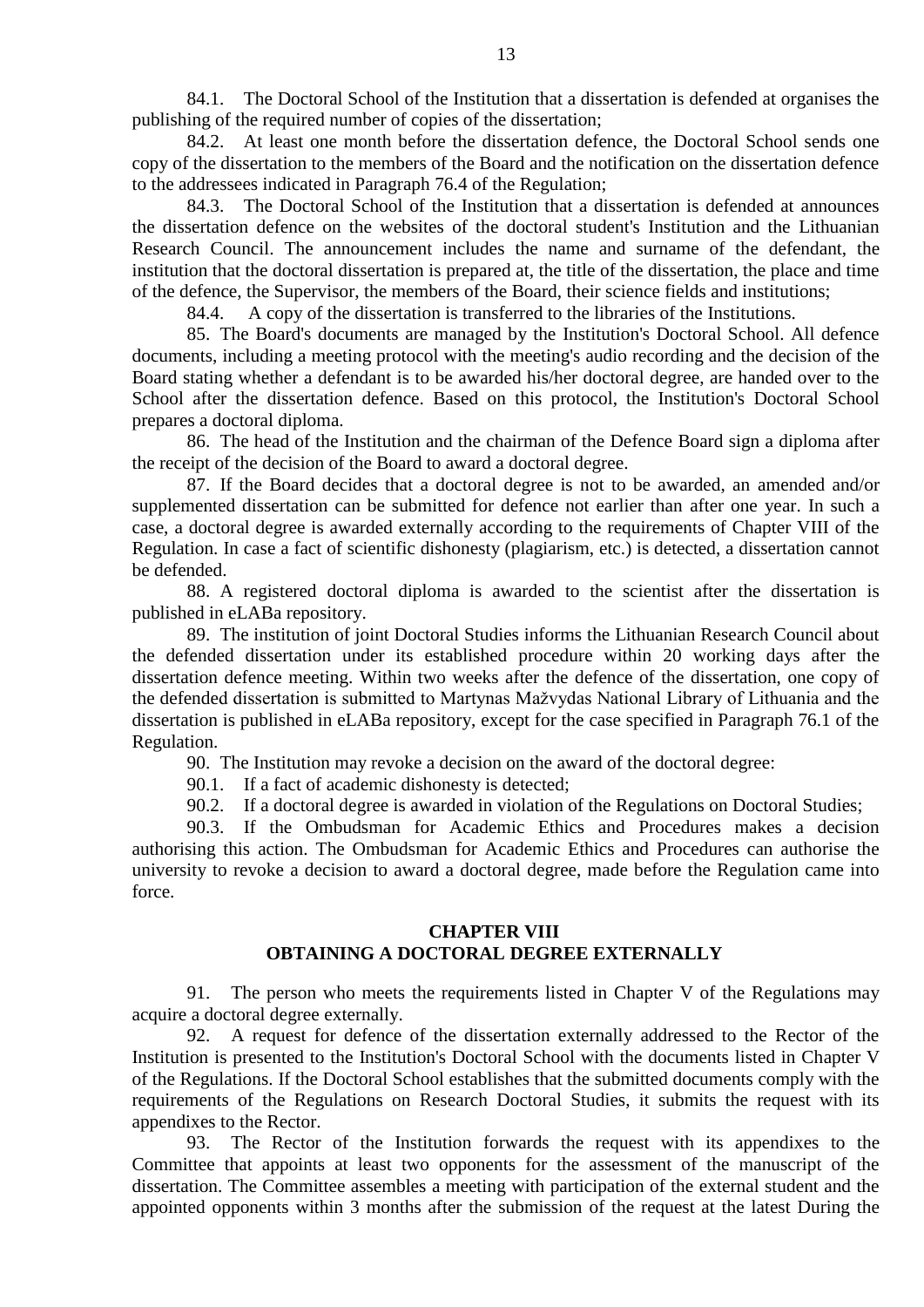84.1. The Doctoral School of the Institution that a dissertation is defended at organises the publishing of the required number of copies of the dissertation;

84.2. At least one month before the dissertation defence, the Doctoral School sends one copy of the dissertation to the members of the Board and the notification on the dissertation defence to the addressees indicated in Paragraph [76.4](#page-11-0) of the Regulation;

84.3. The Doctoral School of the Institution that a dissertation is defended at announces the dissertation defence on the websites of the doctoral student's Institution and the Lithuanian Research Council. The announcement includes the name and surname of the defendant, the institution that the doctoral dissertation is prepared at, the title of the dissertation, the place and time of the defence, the Supervisor, the members of the Board, their science fields and institutions;

84.4. A copy of the dissertation is transferred to the libraries of the Institutions.

85. The Board's documents are managed by the Institution's Doctoral School. All defence documents, including a meeting protocol with the meeting's audio recording and the decision of the Board stating whether a defendant is to be awarded his/her doctoral degree, are handed over to the School after the dissertation defence. Based on this protocol, the Institution's Doctoral School prepares a doctoral diploma.

86. The head of the Institution and the chairman of the Defence Board sign a diploma after the receipt of the decision of the Board to award a doctoral degree.

87. If the Board decides that a doctoral degree is not to be awarded, an amended and/or supplemented dissertation can be submitted for defence not earlier than after one year. In such a case, a doctoral degree is awarded externally according to the requirements of Chapter VIII of the Regulation. In case a fact of scientific dishonesty (plagiarism, etc.) is detected, a dissertation cannot be defended.

88. A registered doctoral diploma is awarded to the scientist after the dissertation is published in eLABa repository.

89. The institution of joint Doctoral Studies informs the Lithuanian Research Council about the defended dissertation under its established procedure within 20 working days after the dissertation defence meeting. Within two weeks after the defence of the dissertation, one copy of the defended dissertation is submitted to Martynas Mažvydas National Library of Lithuania and the dissertation is published in eLABa repository, except for the case specified in Paragraph 76.1 of the Regulation.

90. The Institution may revoke a decision on the award of the doctoral degree:

90.1. If a fact of academic dishonesty is detected;

90.2. If a doctoral degree is awarded in violation of the Regulations on Doctoral Studies;

90.3. If the Ombudsman for Academic Ethics and Procedures makes a decision authorising this action. The Ombudsman for Academic Ethics and Procedures can authorise the university to revoke a decision to award a doctoral degree, made before the Regulation came into force.

#### **CHAPTER VIII OBTAINING A DOCTORAL DEGREE EXTERNALLY**

91. The person who meets the requirements listed in Chapter V of the Regulations may acquire a doctoral degree externally.

92. A request for defence of the dissertation externally addressed to the Rector of the Institution is presented to the Institution's Doctoral School with the documents listed in Chapter V of the Regulations. If the Doctoral School establishes that the submitted documents comply with the requirements of the Regulations on Research Doctoral Studies, it submits the request with its appendixes to the Rector.

93. The Rector of the Institution forwards the request with its appendixes to the Committee that appoints at least two opponents for the assessment of the manuscript of the dissertation. The Committee assembles a meeting with participation of the external student and the appointed opponents within 3 months after the submission of the request at the latest During the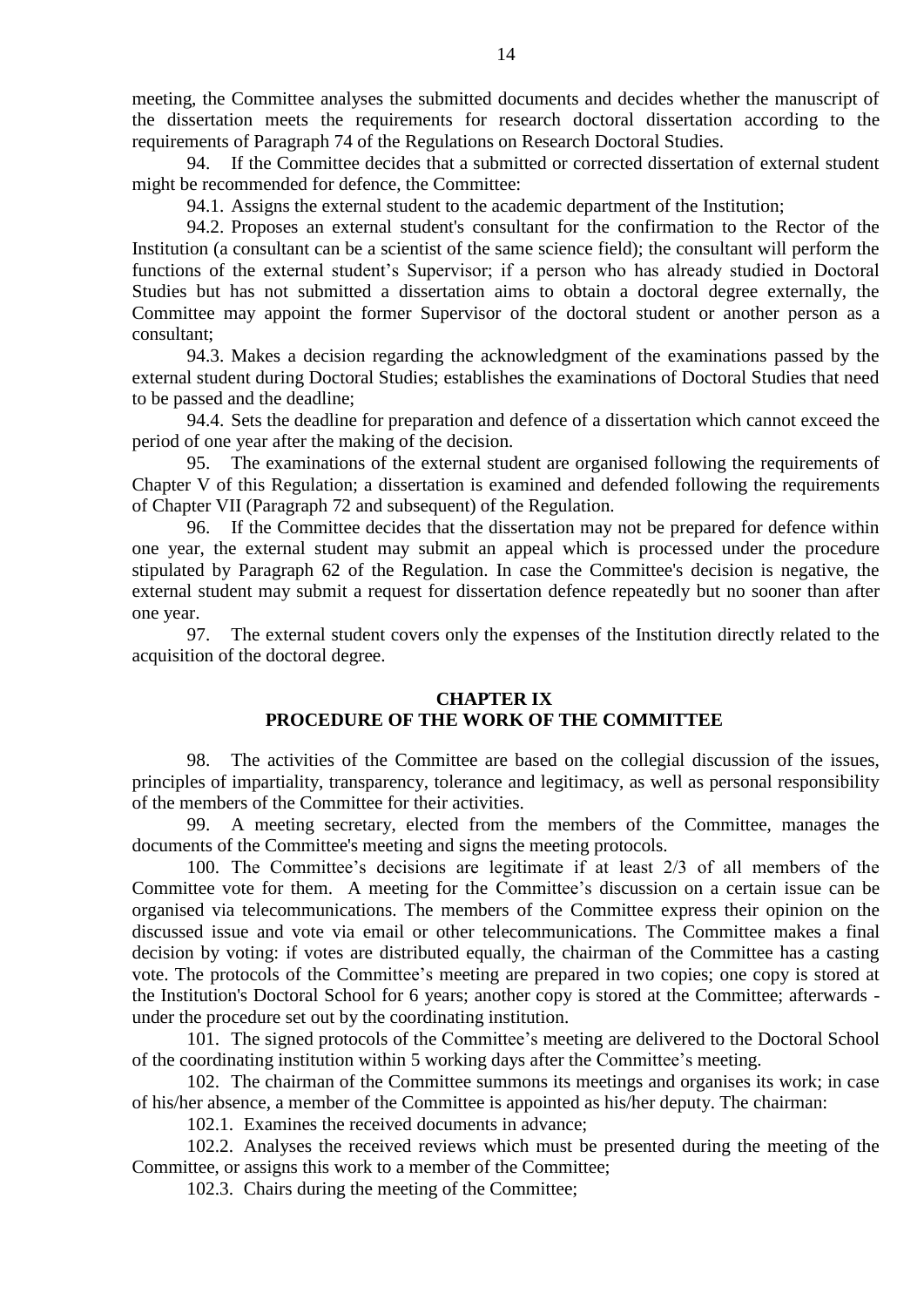meeting, the Committee analyses the submitted documents and decides whether the manuscript of the dissertation meets the requirements for research doctoral dissertation according to the requirements of Paragraph 74 of the Regulations on Research Doctoral Studies.

94. If the Committee decides that a submitted or corrected dissertation of external student might be recommended for defence, the Committee:

94.1. Assigns the external student to the academic department of the Institution;

94.2. Proposes an external student's consultant for the confirmation to the Rector of the Institution (a consultant can be a scientist of the same science field); the consultant will perform the functions of the external student's Supervisor; if a person who has already studied in Doctoral Studies but has not submitted a dissertation aims to obtain a doctoral degree externally, the Committee may appoint the former Supervisor of the doctoral student or another person as a consultant;

94.3. Makes a decision regarding the acknowledgment of the examinations passed by the external student during Doctoral Studies; establishes the examinations of Doctoral Studies that need to be passed and the deadline;

94.4. Sets the deadline for preparation and defence of a dissertation which cannot exceed the period of one year after the making of the decision.

95. The examinations of the external student are organised following the requirements of Chapter V of this Regulation; a dissertation is examined and defended following the requirements of Chapter VII (Paragraph 72 and subsequent) of the Regulation.

96. If the Committee decides that the dissertation may not be prepared for defence within one year, the external student may submit an appeal which is processed under the procedure stipulated by Paragraph 62 of the Regulation. In case the Committee's decision is negative, the external student may submit a request for dissertation defence repeatedly but no sooner than after one year.

97. The external student covers only the expenses of the Institution directly related to the acquisition of the doctoral degree.

#### **CHAPTER IX**

#### **PROCEDURE OF THE WORK OF THE COMMITTEE**

98. The activities of the Committee are based on the collegial discussion of the issues, principles of impartiality, transparency, tolerance and legitimacy, as well as personal responsibility of the members of the Committee for their activities.

99. A meeting secretary, elected from the members of the Committee, manages the documents of the Committee's meeting and signs the meeting protocols.

100. The Committee's decisions are legitimate if at least 2/3 of all members of the Committee vote for them. A meeting for the Committee's discussion on a certain issue can be organised via telecommunications. The members of the Committee express their opinion on the discussed issue and vote via email or other telecommunications. The Committee makes a final decision by voting: if votes are distributed equally, the chairman of the Committee has a casting vote. The protocols of the Committee's meeting are prepared in two copies; one copy is stored at the Institution's Doctoral School for 6 years; another copy is stored at the Committee; afterwards under the procedure set out by the coordinating institution.

101. The signed protocols of the Committee's meeting are delivered to the Doctoral School of the coordinating institution within 5 working days after the Committee's meeting.

102. The chairman of the Committee summons its meetings and organises its work; in case of his/her absence, a member of the Committee is appointed as his/her deputy. The chairman:

102.1. Examines the received documents in advance;

102.2. Analyses the received reviews which must be presented during the meeting of the Committee, or assigns this work to a member of the Committee;

102.3. Chairs during the meeting of the Committee;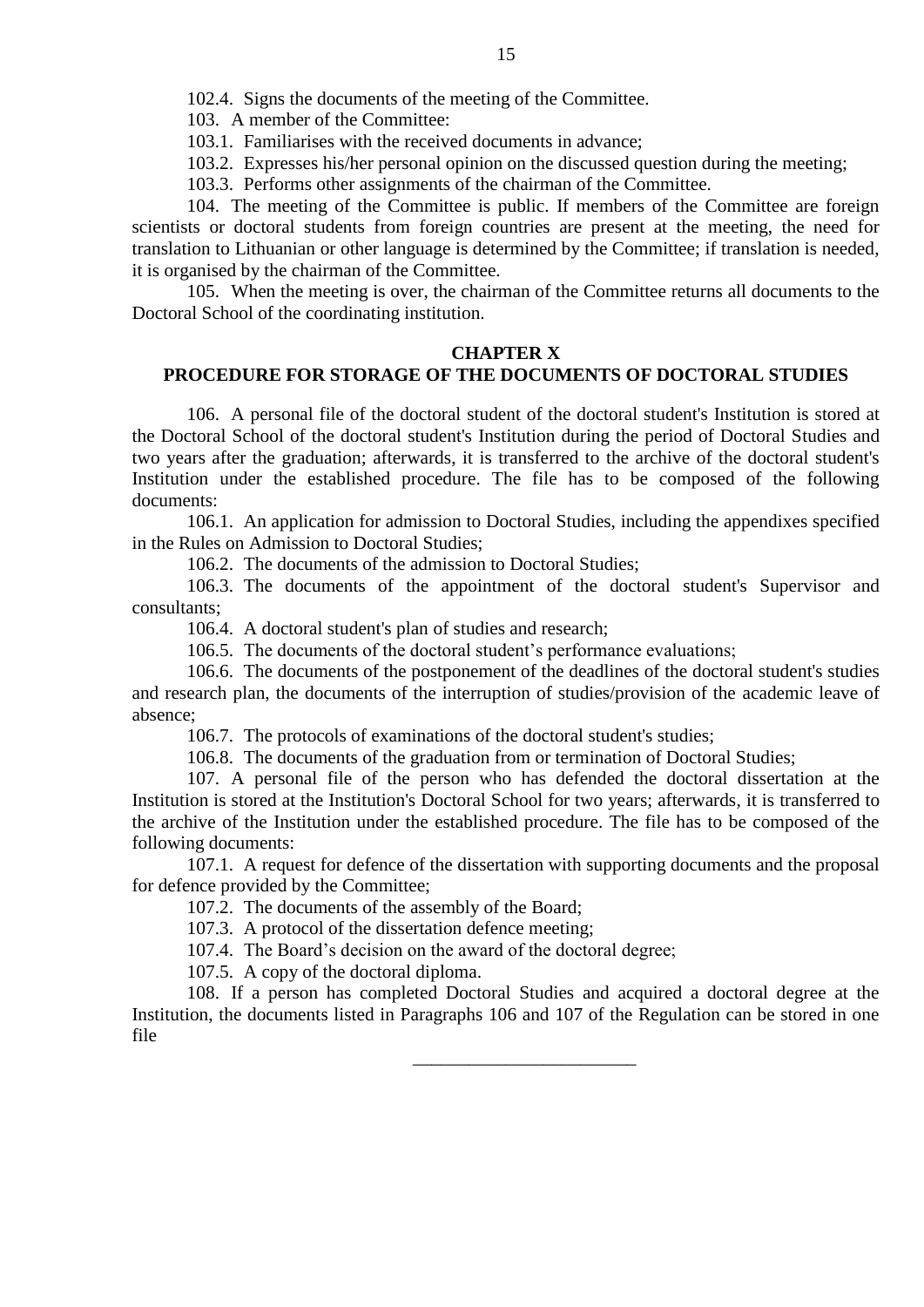103. A member of the Committee:

103.1. Familiarises with the received documents in advance;

103.2. Expresses his/her personal opinion on the discussed question during the meeting;

103.3. Performs other assignments of the chairman of the Committee.

104. The meeting of the Committee is public. If members of the Committee are foreign scientists or doctoral students from foreign countries are present at the meeting, the need for translation to Lithuanian or other language is determined by the Committee; if translation is needed, it is organised by the chairman of the Committee.

105. When the meeting is over, the chairman of the Committee returns all documents to the Doctoral School of the coordinating institution.

#### **CHAPTER X**

# **PROCEDURE FOR STORAGE OF THE DOCUMENTS OF DOCTORAL STUDIES**

106. A personal file of the doctoral student of the doctoral student's Institution is stored at the Doctoral School of the doctoral student's Institution during the period of Doctoral Studies and two years after the graduation; afterwards, it is transferred to the archive of the doctoral student's Institution under the established procedure. The file has to be composed of the following documents:

106.1. An application for admission to Doctoral Studies, including the appendixes specified in the Rules on Admission to Doctoral Studies;

106.2. The documents of the admission to Doctoral Studies;

106.3. The documents of the appointment of the doctoral student's Supervisor and consultants;

106.4. A doctoral student's plan of studies and research;

106.5. The documents of the doctoral student's performance evaluations;

106.6. The documents of the postponement of the deadlines of the doctoral student's studies and research plan, the documents of the interruption of studies/provision of the academic leave of absence;

106.7. The protocols of examinations of the doctoral student's studies;

106.8. The documents of the graduation from or termination of Doctoral Studies;

107. A personal file of the person who has defended the doctoral dissertation at the Institution is stored at the Institution's Doctoral School for two years; afterwards, it is transferred to the archive of the Institution under the established procedure. The file has to be composed of the following documents:

107.1. A request for defence of the dissertation with supporting documents and the proposal for defence provided by the Committee;

107.2. The documents of the assembly of the Board;

107.3. A protocol of the dissertation defence meeting;

107.4. The Board's decision on the award of the doctoral degree;

107.5. A copy of the doctoral diploma.

108. If a person has completed Doctoral Studies and acquired a doctoral degree at the Institution, the documents listed in Paragraphs 106 and 107 of the Regulation can be stored in one file

\_\_\_\_\_\_\_\_\_\_\_\_\_\_\_\_\_\_\_\_\_\_\_\_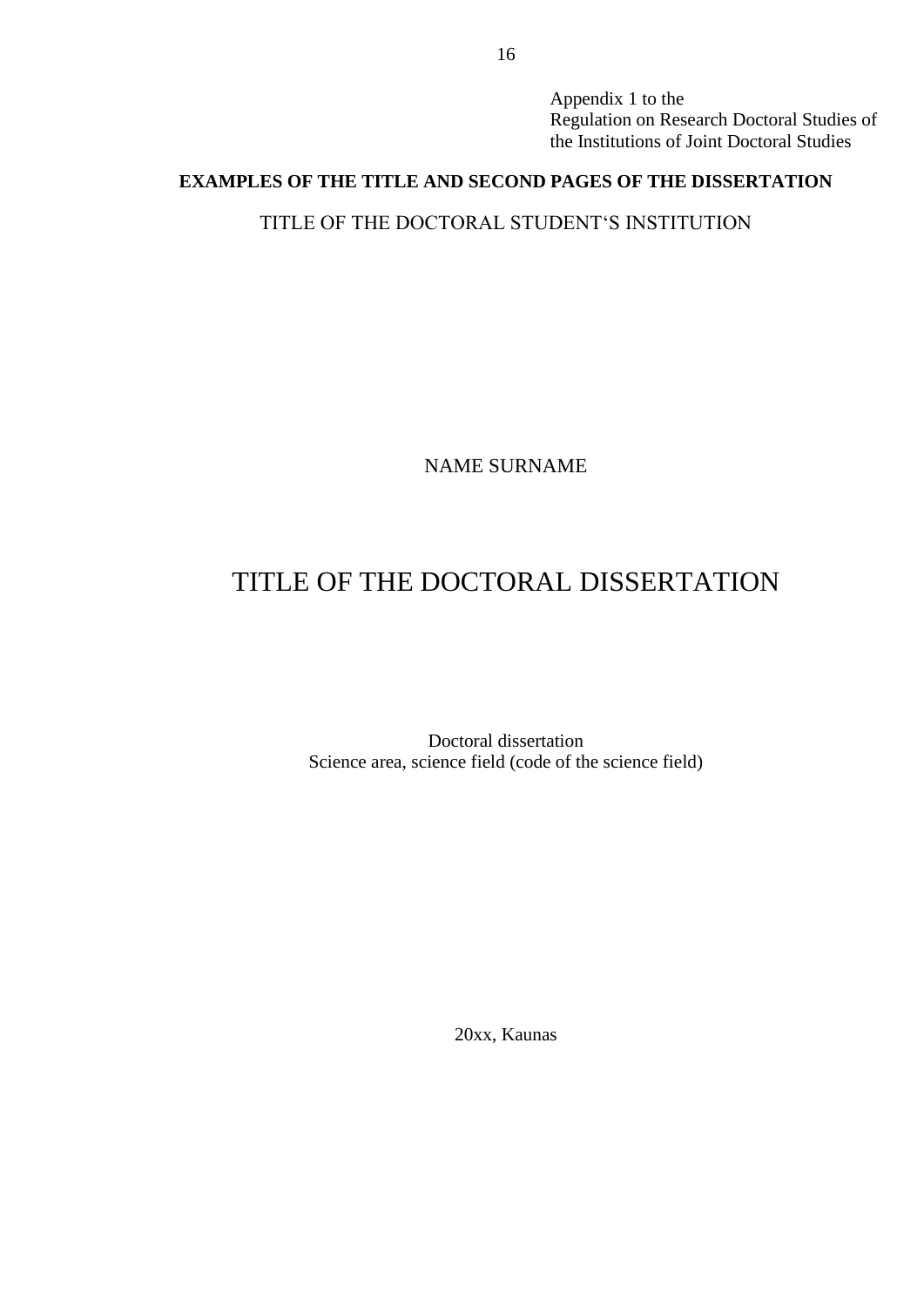Appendix 1 to the Regulation on Research Doctoral Studies of the Institutions of Joint Doctoral Studies

# **EXAMPLES OF THE TITLE AND SECOND PAGES OF THE DISSERTATION**

TITLE OF THE DOCTORAL STUDENT'S INSTITUTION

NAME SURNAME

# TITLE OF THE DOCTORAL DISSERTATION

Doctoral dissertation Science area, science field (code of the science field)

20xx, Kaunas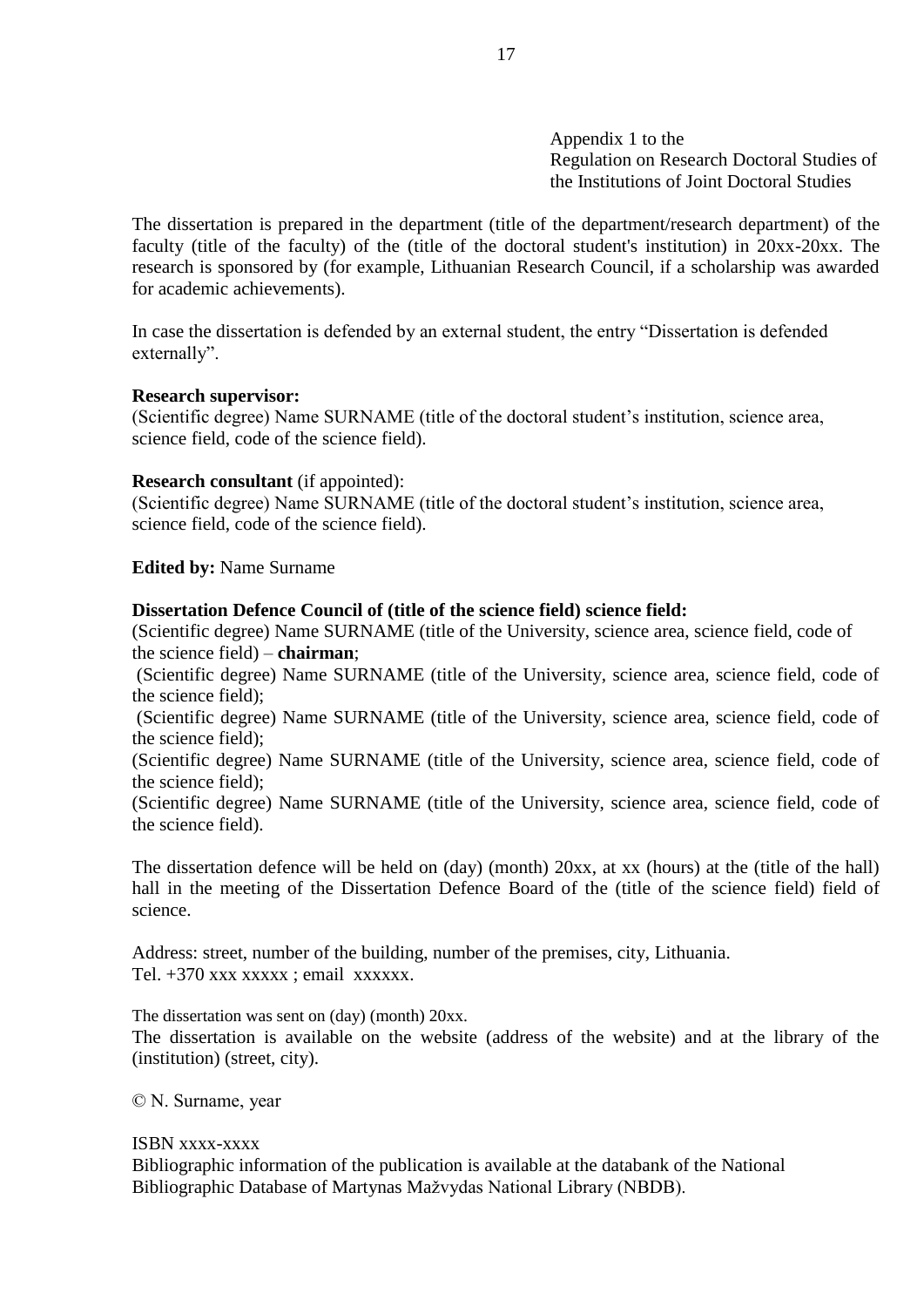Appendix 1 to the Regulation on Research Doctoral Studies of the Institutions of Joint Doctoral Studies

The dissertation is prepared in the department (title of the department/research department) of the faculty (title of the faculty) of the (title of the doctoral student's institution) in 20xx-20xx. The research is sponsored by (for example, Lithuanian Research Council, if a scholarship was awarded for academic achievements).

In case the dissertation is defended by an external student, the entry "Dissertation is defended externally".

#### **Research supervisor:**

(Scientific degree) Name SURNAME (title of the doctoral student's institution, science area, science field, code of the science field).

#### **Research consultant** (if appointed):

(Scientific degree) Name SURNAME (title of the doctoral student's institution, science area, science field, code of the science field).

**Edited by:** Name Surname

#### **Dissertation Defence Council of (title of the science field) science field:**

(Scientific degree) Name SURNAME (title of the University, science area, science field, code of the science field) – **chairman**;

(Scientific degree) Name SURNAME (title of the University, science area, science field, code of the science field);

(Scientific degree) Name SURNAME (title of the University, science area, science field, code of the science field);

(Scientific degree) Name SURNAME (title of the University, science area, science field, code of the science field);

(Scientific degree) Name SURNAME (title of the University, science area, science field, code of the science field).

The dissertation defence will be held on (day) (month) 20xx, at xx (hours) at the (title of the hall) hall in the meeting of the Dissertation Defence Board of the (title of the science field) field of science.

Address: street, number of the building, number of the premises, city, Lithuania. Tel.  $+370$  xxx xxxxx ; email xxxxxx.

The dissertation was sent on (day) (month) 20xx.

The dissertation is available on the website (address of the website) and at the library of the (institution) (street, city).

© N. Surname, year

#### ISBN xxxx-xxxx

Bibliographic information of the publication is available at the databank of the National Bibliographic Database of Martynas Mažvydas National Library (NBDB).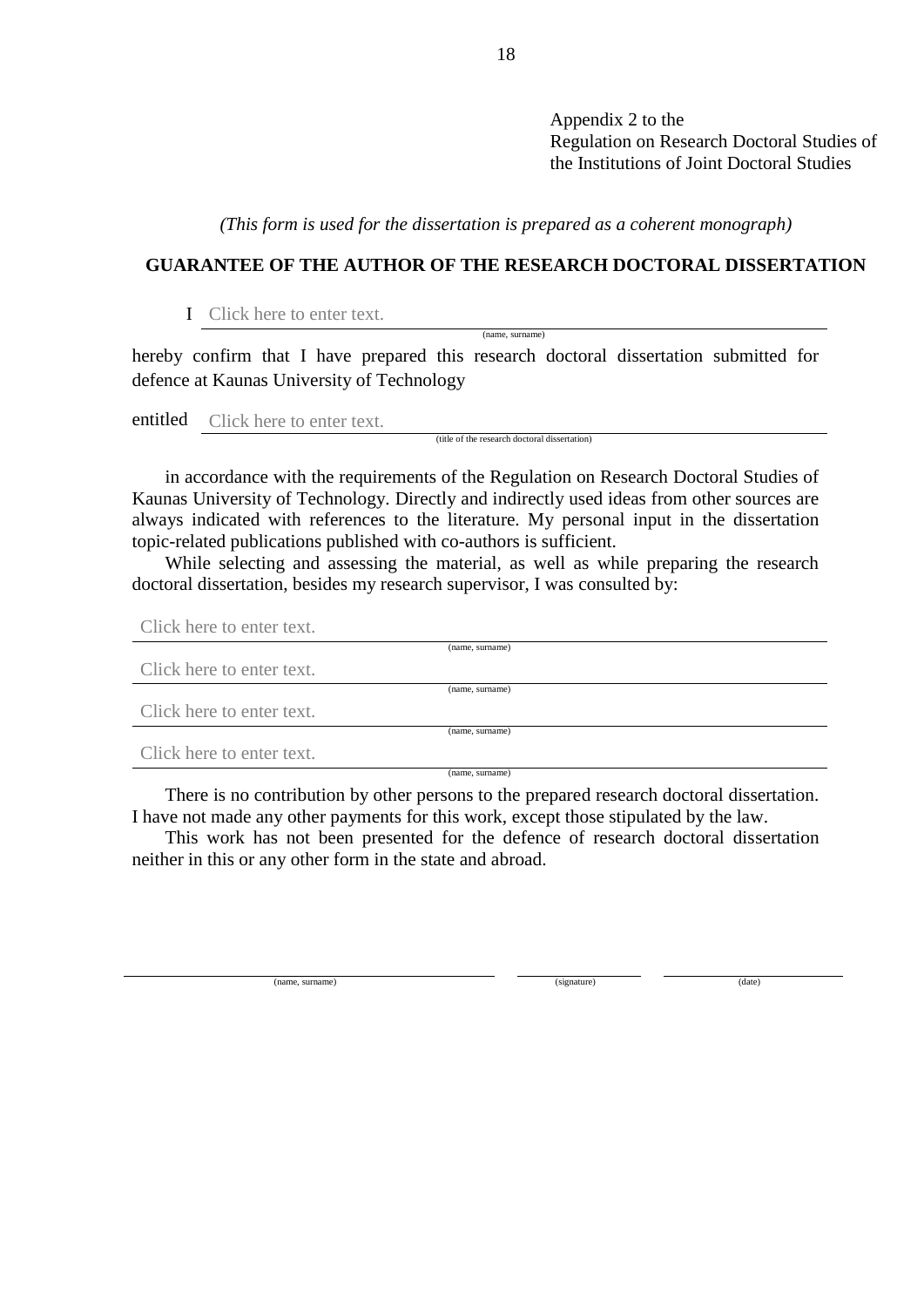Appendix 2 to the Regulation on Research Doctoral Studies of the Institutions of Joint Doctoral Studies

*(This form is used for the dissertation is prepared as a coherent monograph)*

# **GUARANTEE OF THE AUTHOR OF THE RESEARCH DOCTORAL DISSERTATION**

(name, surname)

## I Click here to enter text.

hereby confirm that I have prepared this research doctoral dissertation submitted for defence at Kaunas University of Technology

entitled Click here to enter text.

(title of the research doctoral dissertation)

in accordance with the requirements of the Regulation on Research Doctoral Studies of Kaunas University of Technology. Directly and indirectly used ideas from other sources are always indicated with references to the literature. My personal input in the dissertation topic-related publications published with co-authors is sufficient.

While selecting and assessing the material, as well as while preparing the research doctoral dissertation, besides my research supervisor, I was consulted by:

Click here to enter text.

|                           | (name, surname) |  |
|---------------------------|-----------------|--|
| Click here to enter text. |                 |  |
|                           | (name, surname) |  |
| Click here to enter text. |                 |  |
|                           | (name, surname) |  |
| Click here to enter text. |                 |  |
|                           | (name. surname) |  |

There is no contribution by other persons to the prepared research doctoral dissertation. I have not made any other payments for this work, except those stipulated by the law.

This work has not been presented for the defence of research doctoral dissertation neither in this or any other form in the state and abroad.

(name, surname) (signature) (signature) (date) (date)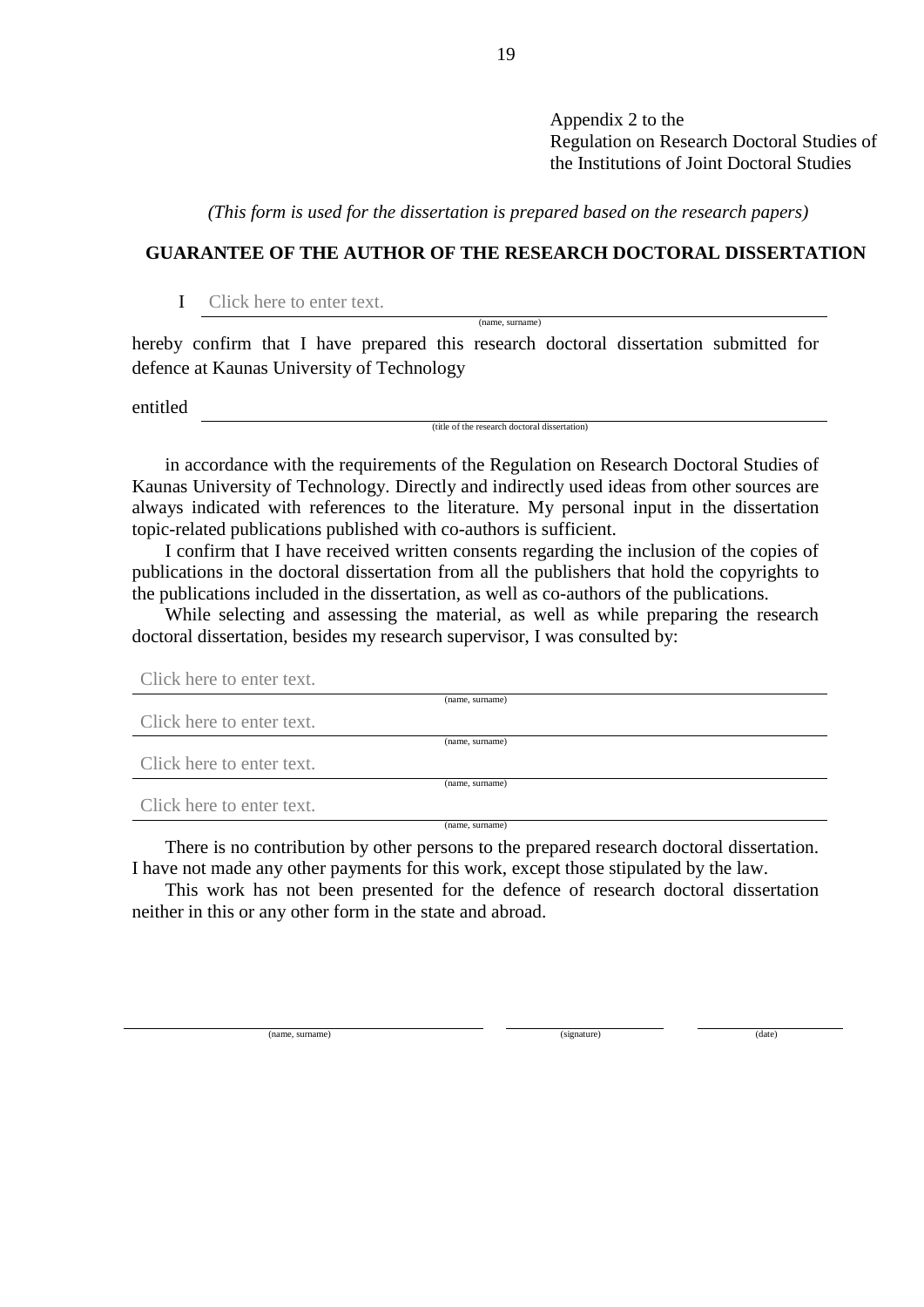Appendix 2 to the Regulation on Research Doctoral Studies of the Institutions of Joint Doctoral Studies

*(This form is used for the dissertation is prepared based on the research papers)*

# **GUARANTEE OF THE AUTHOR OF THE RESEARCH DOCTORAL DISSERTATION**

(name, surname)

I Click here to enter text.

hereby confirm that I have prepared this research doctoral dissertation submitted for defence at Kaunas University of Technology

entitled

(title of the research doctoral dissertation)

in accordance with the requirements of the Regulation on Research Doctoral Studies of Kaunas University of Technology. Directly and indirectly used ideas from other sources are always indicated with references to the literature. My personal input in the dissertation topic-related publications published with co-authors is sufficient.

I confirm that I have received written consents regarding the inclusion of the copies of publications in the doctoral dissertation from all the publishers that hold the copyrights to the publications included in the dissertation, as well as co-authors of the publications.

While selecting and assessing the material, as well as while preparing the research doctoral dissertation, besides my research supervisor, I was consulted by:

| Click here to enter text. |                 |
|---------------------------|-----------------|
|                           | (name, surname) |
| Click here to enter text. |                 |
|                           | (name, surname) |
| Click here to enter text. |                 |
|                           | (name, surname) |
| Click here to enter text. |                 |
|                           | (name, surname) |

There is no contribution by other persons to the prepared research doctoral dissertation. I have not made any other payments for this work, except those stipulated by the law.

This work has not been presented for the defence of research doctoral dissertation neither in this or any other form in the state and abroad.

(name, surname) (date) (date) (expansion of the state of the state of the state of the state of the state of the state of the state of the state of the state of the state of the state of the state of the state of the state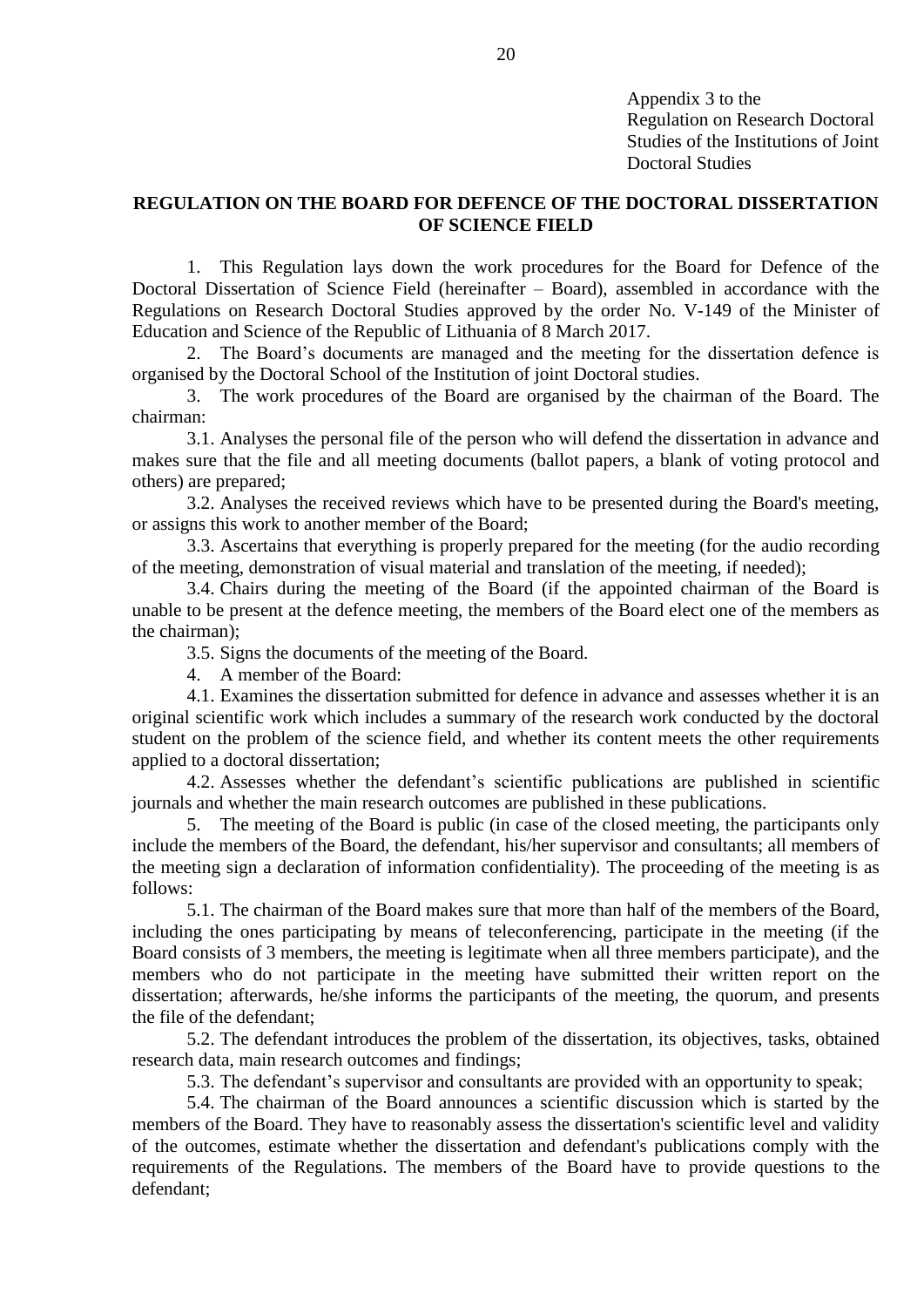Appendix 3 to the Regulation on Research Doctoral Studies of the Institutions of Joint Doctoral Studies

# **REGULATION ON THE BOARD FOR DEFENCE OF THE DOCTORAL DISSERTATION OF SCIENCE FIELD**

1. This Regulation lays down the work procedures for the Board for Defence of the Doctoral Dissertation of Science Field (hereinafter – Board), assembled in accordance with the Regulations on Research Doctoral Studies approved by the order No. V-149 of the Minister of Education and Science of the Republic of Lithuania of 8 March 2017.

2. The Board's documents are managed and the meeting for the dissertation defence is organised by the Doctoral School of the Institution of joint Doctoral studies.

3. The work procedures of the Board are organised by the chairman of the Board. The chairman:

3.1. Analyses the personal file of the person who will defend the dissertation in advance and makes sure that the file and all meeting documents (ballot papers, a blank of voting protocol and others) are prepared;

3.2. Analyses the received reviews which have to be presented during the Board's meeting, or assigns this work to another member of the Board;

3.3. Ascertains that everything is properly prepared for the meeting (for the audio recording of the meeting, demonstration of visual material and translation of the meeting, if needed);

3.4. Chairs during the meeting of the Board (if the appointed chairman of the Board is unable to be present at the defence meeting, the members of the Board elect one of the members as the chairman);

3.5. Signs the documents of the meeting of the Board.

4. A member of the Board:

4.1. Examines the dissertation submitted for defence in advance and assesses whether it is an original scientific work which includes a summary of the research work conducted by the doctoral student on the problem of the science field, and whether its content meets the other requirements applied to a doctoral dissertation;

4.2. Assesses whether the defendant's scientific publications are published in scientific journals and whether the main research outcomes are published in these publications.

5. The meeting of the Board is public (in case of the closed meeting, the participants only include the members of the Board, the defendant, his/her supervisor and consultants; all members of the meeting sign a declaration of information confidentiality). The proceeding of the meeting is as follows:

5.1. The chairman of the Board makes sure that more than half of the members of the Board, including the ones participating by means of teleconferencing, participate in the meeting (if the Board consists of 3 members, the meeting is legitimate when all three members participate), and the members who do not participate in the meeting have submitted their written report on the dissertation; afterwards, he/she informs the participants of the meeting, the quorum, and presents the file of the defendant;

5.2. The defendant introduces the problem of the dissertation, its objectives, tasks, obtained research data, main research outcomes and findings;

5.3. The defendant's supervisor and consultants are provided with an opportunity to speak;

5.4. The chairman of the Board announces a scientific discussion which is started by the members of the Board. They have to reasonably assess the dissertation's scientific level and validity of the outcomes, estimate whether the dissertation and defendant's publications comply with the requirements of the Regulations. The members of the Board have to provide questions to the defendant;